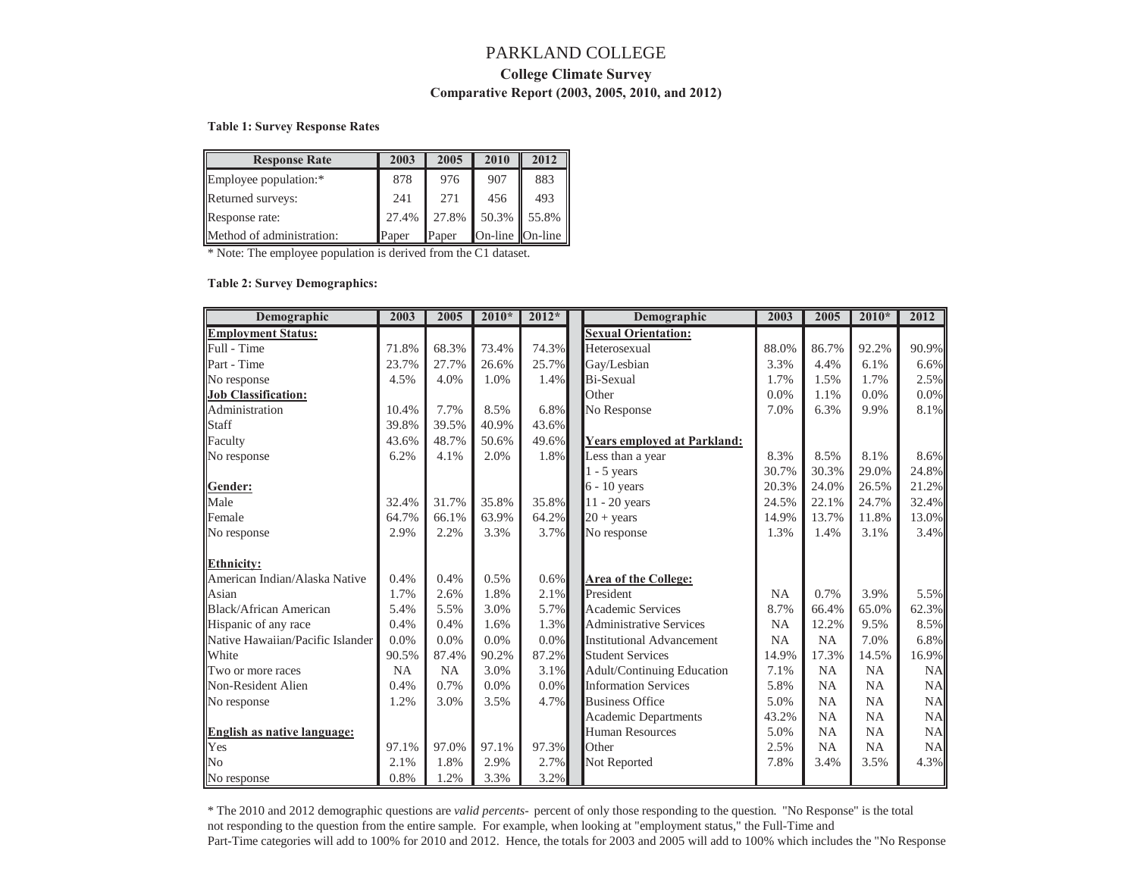# PARKLAND COLLEGE **College Climate Survey Comparative Report (2003, 2005, 2010, and 2012)**

#### **Table 1: Survey Response Rates**

| <b>Response Rate</b>      | 2003  | 2005  | 2010            | 2012 |
|---------------------------|-------|-------|-----------------|------|
| Employee population:*     | 878   | 976   | 907             | 883  |
| Returned surveys:         | 241   | 271   | 456             | 493  |
| Response rate:            | 27.4% | 27.8% | 50.3% 55.8%     |      |
| Method of administration: | Paper | Paper | On-line On-line |      |

\* Note: The employee population is derived from the C1 dataset.

#### **Table 2: Survey Demographics:**

| Demographic                      | 2003  | 2005  | $2010*$ | $2012*$ | Demographic                        | 2003      | 2005      | $2010*$   | 2012      |
|----------------------------------|-------|-------|---------|---------|------------------------------------|-----------|-----------|-----------|-----------|
| <b>Employment Status:</b>        |       |       |         |         | <b>Sexual Orientation:</b>         |           |           |           |           |
| Full - Time                      | 71.8% | 68.3% | 73.4%   | 74.3%   | Heterosexual                       | 88.0%     | 86.7%     | 92.2%     | 90.9%     |
| Part - Time                      | 23.7% | 27.7% | 26.6%   | 25.7%   | Gay/Lesbian                        | 3.3%      | 4.4%      | 6.1%      | 6.6%      |
| No response                      | 4.5%  | 4.0%  | 1.0%    | 1.4%    | Bi-Sexual                          | 1.7%      | 1.5%      | 1.7%      | 2.5%      |
| <b>Job Classification:</b>       |       |       |         |         | Other                              | 0.0%      | 1.1%      | 0.0%      | 0.0%      |
| Administration                   | 10.4% | 7.7%  | 8.5%    | 6.8%    | No Response                        | 7.0%      | 6.3%      | 9.9%      | 8.1%      |
| Staff                            | 39.8% | 39.5% | 40.9%   | 43.6%   |                                    |           |           |           |           |
| Faculty                          | 43.6% | 48.7% | 50.6%   | 49.6%   | <b>Years employed at Parkland:</b> |           |           |           |           |
| No response                      | 6.2%  | 4.1%  | 2.0%    | 1.8%    | Less than a year                   | 8.3%      | 8.5%      | 8.1%      | 8.6%      |
|                                  |       |       |         |         | $1 - 5$ years                      | 30.7%     | 30.3%     | 29.0%     | 24.8%     |
| Gender:                          |       |       |         |         | 6 - 10 years                       | 20.3%     | 24.0%     | 26.5%     | 21.2%     |
| Male                             | 32.4% | 31.7% | 35.8%   | 35.8%   | 11 - 20 years                      | 24.5%     | 22.1%     | 24.7%     | 32.4%     |
| Female                           | 64.7% | 66.1% | 63.9%   | 64.2%   | $20 + years$                       | 14.9%     | 13.7%     | 11.8%     | 13.0%     |
| No response                      | 2.9%  | 2.2%  | 3.3%    | 3.7%    | No response                        | 1.3%      | 1.4%      | 3.1%      | 3.4%      |
|                                  |       |       |         |         |                                    |           |           |           |           |
| <b>Ethnicity:</b>                |       |       |         |         |                                    |           |           |           |           |
| American Indian/Alaska Native    | 0.4%  | 0.4%  | 0.5%    | 0.6%    | <b>Area of the College:</b>        |           |           |           |           |
| Asian                            | 1.7%  | 2.6%  | 1.8%    | 2.1%    | President                          | <b>NA</b> | 0.7%      | 3.9%      | 5.5%      |
| Black/African American           | 5.4%  | 5.5%  | 3.0%    | 5.7%    | <b>Academic Services</b>           | 8.7%      | 66.4%     | 65.0%     | 62.3%     |
| Hispanic of any race             | 0.4%  | 0.4%  | 1.6%    | 1.3%    | <b>Administrative Services</b>     | <b>NA</b> | 12.2%     | 9.5%      | 8.5%      |
| Native Hawaiian/Pacific Islander | 0.0%  | 0.0%  | 0.0%    | $0.0\%$ | <b>Institutional Advancement</b>   | <b>NA</b> | NA        | 7.0%      | 6.8%      |
| White                            | 90.5% | 87.4% | 90.2%   | 87.2%   | <b>Student Services</b>            | 14.9%     | 17.3%     | 14.5%     | 16.9%     |
| Two or more races                | NA    | NA    | 3.0%    | 3.1%    | Adult/Continuing Education         | 7.1%      | NA        | NA        | <b>NA</b> |
| Non-Resident Alien               | 0.4%  | 0.7%  | 0.0%    | 0.0%    | <b>Information Services</b>        | 5.8%      | <b>NA</b> | NA        | <b>NA</b> |
| No response                      | 1.2%  | 3.0%  | 3.5%    | 4.7%    | <b>Business Office</b>             | 5.0%      | NA        | <b>NA</b> | NA        |
|                                  |       |       |         |         | <b>Academic Departments</b>        | 43.2%     | <b>NA</b> | <b>NA</b> | <b>NA</b> |
| English as native language:      |       |       |         |         | <b>Human Resources</b>             | 5.0%      | <b>NA</b> | <b>NA</b> | <b>NA</b> |
| Yes                              | 97.1% | 97.0% | 97.1%   | 97.3%   | Other                              | 2.5%      | <b>NA</b> | <b>NA</b> | <b>NA</b> |
| No                               | 2.1%  | 1.8%  | 2.9%    | 2.7%    | Not Reported                       | 7.8%      | 3.4%      | 3.5%      | 4.3%      |
| No response                      | 0.8%  | 1.2%  | 3.3%    | 3.2%    |                                    |           |           |           |           |

\* The 2010 and 2012 demographic questions are *valid percents-* percent of only those responding to the question*.* "No Response" is the total not responding to the question from the entire sample. For example, when looking at "employment status," the Full-Time and Part-Time categories will add to 100% for 2010 and 2012. Hence, the totals for 2003 and 2005 will add to 100% which includes the "No Response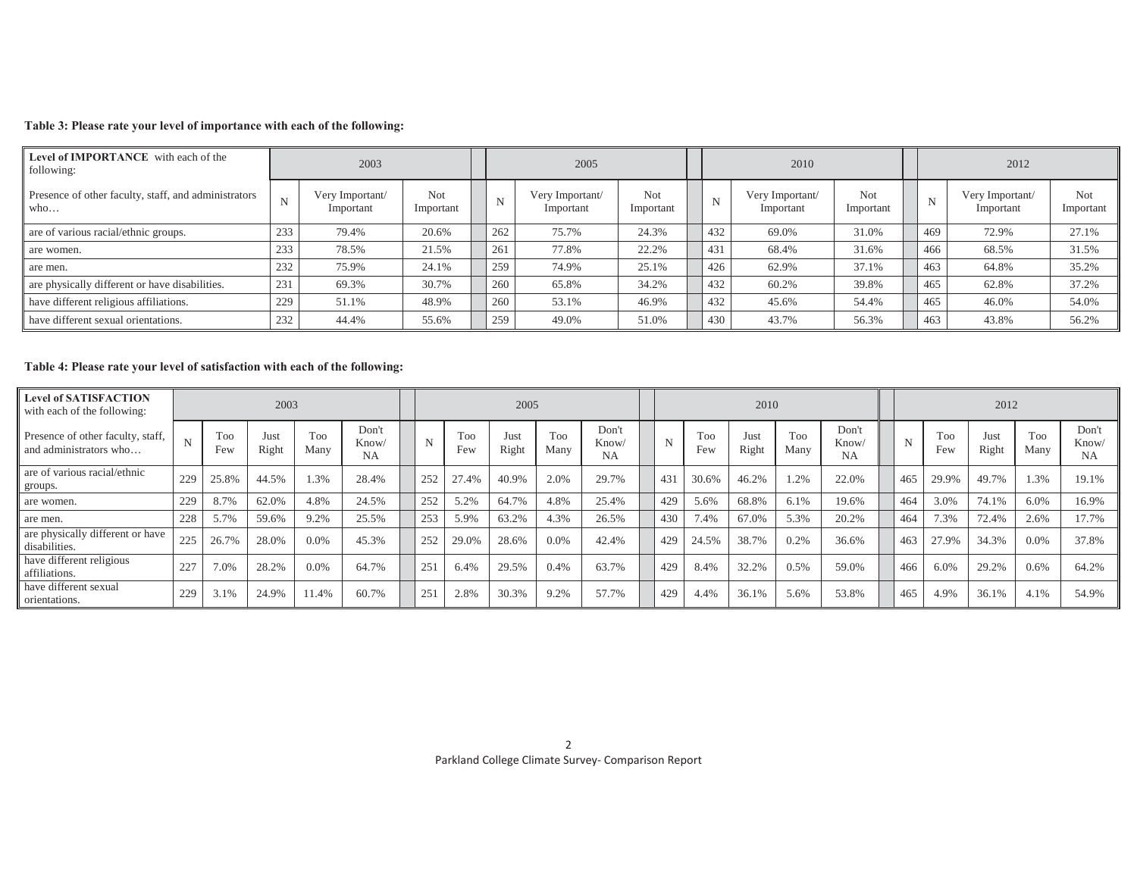### **Table 3: Please rate your level of importance with each of the following:**

| Level of IMPORTANCE with each of the<br>following:          |     | 2003                         |                  |     | 2005                         |                  |     | 2010                         |                  |     | 2012                         |                  |
|-------------------------------------------------------------|-----|------------------------------|------------------|-----|------------------------------|------------------|-----|------------------------------|------------------|-----|------------------------------|------------------|
| Presence of other faculty, staff, and administrators<br>who | N   | Very Important/<br>Important | Not<br>Important | N   | Very Important/<br>Important | Not<br>Important | N   | Very Important/<br>Important | Not<br>Important | N   | Very Important/<br>Important | Not<br>Important |
| are of various racial/ethnic groups.                        | 233 | 79.4%                        | 20.6%            | 262 | 75.7%                        | 24.3%            | 432 | 69.0%                        | 31.0%            | 469 | 72.9%                        | 27.1%            |
| are women.                                                  | 233 | 78.5%                        | 21.5%            | 261 | 77.8%                        | 22.2%            | 431 | 68.4%                        | 31.6%            | 466 | 68.5%                        | 31.5%            |
| are men.                                                    | 232 | 75.9%                        | 24.1%            | 259 | 74.9%                        | 25.1%            | 426 | 62.9%                        | 37.1%            | 463 | 64.8%                        | 35.2%            |
| are physically different or have disabilities.              | 231 | 69.3%                        | 30.7%            | 260 | 65.8%                        | 34.2%            | 432 | 60.2%                        | 39.8%            | 465 | 62.8%                        | 37.2%            |
| have different religious affiliations.                      | 229 | 51.1%                        | 48.9%            | 260 | 53.1%                        | 46.9%            | 432 | 45.6%                        | 54.4%            | 465 | 46.0%                        | 54.0%            |
| have different sexual orientations.                         | 232 | 44.4%                        | 55.6%            | 259 | 49.0%                        | 51.0%            | 430 | 43.7%                        | 56.3%            | 463 | 43.8%                        | 56.2%            |

## **Table 4: Please rate your level of satisfaction with each of the following:**

| <b>Level of SATISFACTION</b><br>with each of the following: |     |            | 2003          |             |                             |     |            | 2005          |             |                      |     |                        | 2010          |                    |                             |     |                   | 2012          |             |                             |
|-------------------------------------------------------------|-----|------------|---------------|-------------|-----------------------------|-----|------------|---------------|-------------|----------------------|-----|------------------------|---------------|--------------------|-----------------------------|-----|-------------------|---------------|-------------|-----------------------------|
| Presence of other faculty, staff,<br>and administrators who | N   | Too<br>Few | Just<br>Right | Too<br>Many | Don't<br>Know/<br><b>NA</b> | N   | Too<br>Few | Just<br>Right | Too<br>Many | Don't<br>Know/<br>NA | N   | T <sub>oo</sub><br>Few | Just<br>Right | <b>Too</b><br>Many | Don't<br>Know/<br><b>NA</b> | N   | <b>Too</b><br>Few | Just<br>Right | Too<br>Many | Don't<br>Know/<br><b>NA</b> |
| are of various racial/ethnic<br>groups.                     | 229 | 25.8%      | 44.5%         | 1.3%        | 28.4%                       |     | 27.4%      | 40.9%         | 2.0%        | 29.7%                | 431 | 30.6%                  | 46.2%         | .2%                | 22.0%                       | 465 | 29.9%             | 49.7%         | 1.3%        | 19.1%                       |
| are women.                                                  | 229 | 8.7%       | 62.0%         | 4.8%        | 24.5%                       |     | 5.2%       | 64.7%         | 4.8%        | 25.4%                | 429 | 5.6%                   | 68.8%         | 6.1%               | 19.6%                       | 464 | 3.0%              | 74.1%         | 6.0%        | 16.9%                       |
| are men.                                                    | 228 | 5.7%       | 59.6%         | 9.2%        | 25.5%                       | 253 | 5.9%       | 63.2%         | 4.3%        | 26.5%                | 430 | 7.4%                   | 67.0%         | 5.3%               | 20.2%                       | 464 | 7.3%              | 72.4%         | 2.6%        | 17.7%                       |
| are physically different or have<br>disabilities.           | 225 | 26.7%      | 28.0%         | 0.0%        | 45.3%                       | 252 | 29.0%      | 28.6%         | $0.0\%$     | 42.4%                | 429 | 24.5%                  | 38.7%         | 0.2%               | 36.6%                       | 463 | 27.9%             | 34.3%         | 0.0%        | 37.8%                       |
| have different religious<br>affiliations.                   | 227 | 7.0%       | 28.2%         | 0.0%        | 64.7%                       |     | 6.4%       | 29.5%         | 0.4%        | 63.7%                | 429 | 8.4%                   | 32.2%         | 0.5%               | 59.0%                       | 466 | 6.0%              | 29.2%         | 0.6%        | 64.2%                       |
| have different sexual<br>orientations.                      | 229 | 3.1%       | 24.9%         | 11.4%       | 60.7%                       |     | 2.8%       | 30.3%         | 9.2%        | 57.7%                | 429 | 4.4%                   | 36.1%         | 5.6%               | 53.8%                       | 465 | 4.9%              | 36.1%         | 4.1%        | 54.9%                       |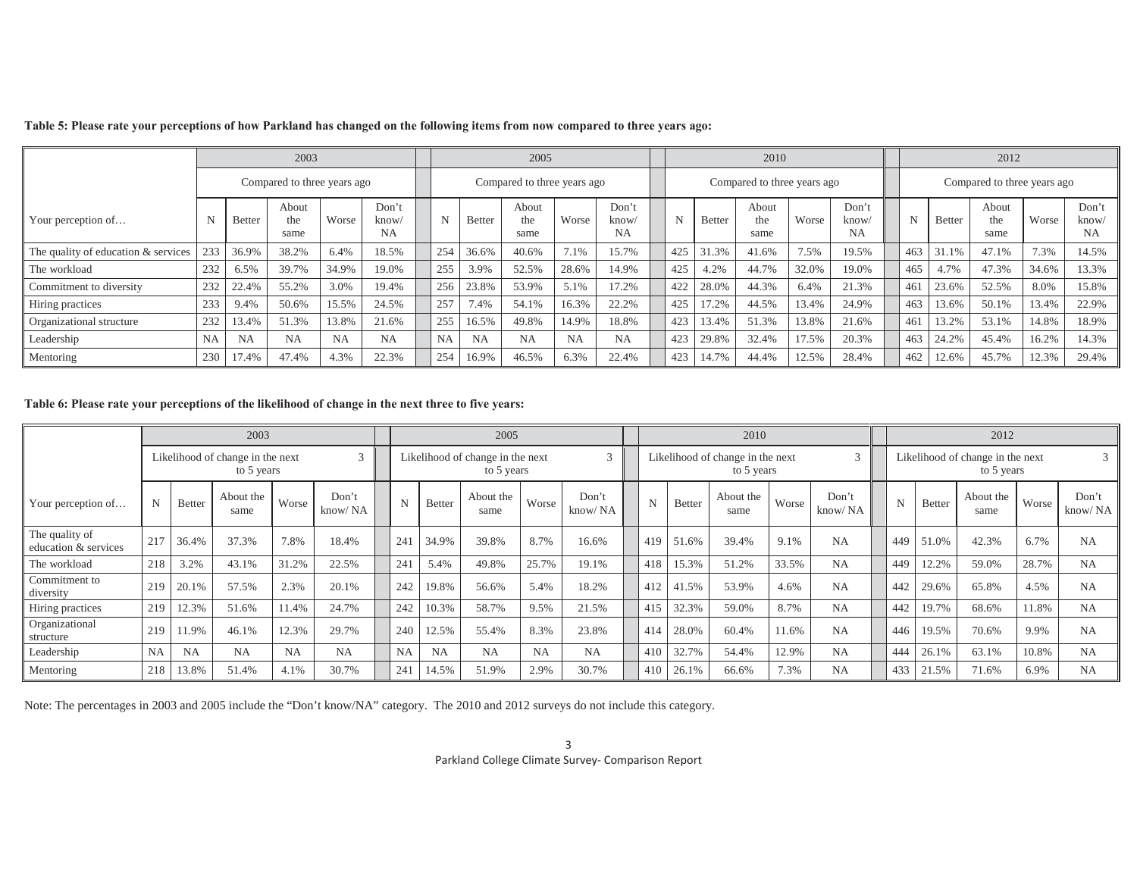|                                     |             |               | 2003                        |           |                             |     |               | 2005                        |           |                            |     |               | 2010                        |       |                             |     |               | 2012                        |       |                             |
|-------------------------------------|-------------|---------------|-----------------------------|-----------|-----------------------------|-----|---------------|-----------------------------|-----------|----------------------------|-----|---------------|-----------------------------|-------|-----------------------------|-----|---------------|-----------------------------|-------|-----------------------------|
|                                     |             |               | Compared to three years ago |           |                             |     |               | Compared to three years ago |           |                            |     |               | Compared to three years ago |       |                             |     |               | Compared to three years ago |       |                             |
| Your perception of                  | $\mathbf N$ | <b>Better</b> | About<br>the<br>same        | Worse     | Don't<br>know/<br><b>NA</b> | N   | <b>Better</b> | About<br>the<br>same        | Worse     | Don'<br>know/<br><b>NA</b> | N   | <b>Better</b> | About<br>the<br>same        | Worse | Don't<br>know/<br><b>NA</b> | N   | <b>Better</b> | About<br>the<br>same        | Worse | Don't<br>know/<br><b>NA</b> |
| The quality of education & services | 233         | 36.9%         | 38.2%                       | 6.4%      | 18.5%                       | 254 | 36.6%         | 40.6%                       | 7.1%      | 15.7%                      | 425 | 31.3%         | 41.6%                       | 7.5%  | 19.5%                       | 463 | 31.1%         | 47.1%                       | 7.3%  | 14.5%                       |
| The workload                        | 232         | 6.5%          | 39.7%                       | 34.9%     | 19.0%                       | 255 | 3.9%          | 52.5%                       | 28.6%     | 14.9%                      | 425 | 4.2%          | 44.7%                       | 32.0% | 19.0%                       | 465 | 4.7%          | 47.3%                       | 34.6% | 13.3%                       |
| Commitment to diversity             | 232         | 22.4%         | 55.2%                       | 3.0%      | 19.4%                       | 256 | 23.8%         | 53.9%                       | 5.1%      | 17.2%                      | 422 | 28.0%         | 44.3%                       | 6.4%  | 21.3%                       | 461 | 23.6%         | 52.5%                       | 8.0%  | 15.8%                       |
| Hiring practices                    | 233         | 9.4%          | 50.6%                       | 15.5%     | 24.5%                       | 257 | 7.4%          | 54.1%                       | 16.3%     | 22.2%                      | 425 | 17.2%         | 44.5%                       | 13.4% | 24.9%                       | 463 | 13.6%         | 50.1%                       | 13.4% | 22.9%                       |
| Organizational structure            | 232         | 13.4%         | 51.3%                       | 13.8%     | 21.6%                       | 255 | 16.5%         | 49.8%                       | 14.9%     | 18.8%                      | 423 | 13.4%         | 51.3%                       | 13.8% | 21.6%                       | 461 | 13.2%         | 53.1%                       | 14.8% | 18.9%                       |
| Leadership                          | <b>NA</b>   | <b>NA</b>     | <b>NA</b>                   | <b>NA</b> | <b>NA</b>                   | NΑ  | <b>NA</b>     | <b>NA</b>                   | <b>NA</b> | <b>NA</b>                  | 423 | 29.8%         | 32.4%                       | 17.5% | 20.3%                       | 463 | 24.2%         | 45.4%                       | 16.2% | 14.3%                       |
| Mentoring                           | 230         | 17.4%         | 47.4%                       | 4.3%      | 22.3%                       | 254 | 16.9%         | 46.5%                       | 6.3%      | 22.4%                      | 423 | 14.7%         | 44.4%                       | 12.5% | 28.4%                       | 462 | 12.6%         | 45.7%                       | 12.3% | 29.4%                       |

#### **Table 5: Please rate your perceptions of how Parkland has changed on the following items from now compared to three years ago:**

### **Table 6: Please rate your perceptions of the likelihood of change in the next three to five years:**

|                                        |           |           | 2003                                           |       |                  |           |               | 2005                                           |       |                  |     |               | 2010                                           |       |                  |     |               | 2012                                           |       |                  |
|----------------------------------------|-----------|-----------|------------------------------------------------|-------|------------------|-----------|---------------|------------------------------------------------|-------|------------------|-----|---------------|------------------------------------------------|-------|------------------|-----|---------------|------------------------------------------------|-------|------------------|
|                                        |           |           | Likelihood of change in the next<br>to 5 years |       | 3                |           |               | Likelihood of change in the next<br>to 5 years |       | $\sim$           |     |               | Likelihood of change in the next<br>to 5 years |       | $\sim$           |     |               | Likelihood of change in the next<br>to 5 years |       |                  |
| Your perception of                     | N         | Better    | About the<br>same                              | Worse | Don't<br>know/NA |           | <b>Better</b> | About the<br>same                              | Worse | Don't<br>know/NA |     | <b>Better</b> | About the<br>same                              | Worse | Don't<br>know/NA |     | <b>Better</b> | About the<br>same                              | Worse | Don't<br>know/NA |
| The quality of<br>education & services | 217       | 36.4%     | 37.3%                                          | 7.8%  | 18.4%            | 241       | 34.9%         | 39.8%                                          | 8.7%  | 16.6%            | 419 | 51.6%         | 39.4%                                          | 9.1%  | NA               | 449 | 51.0%         | 42.3%                                          | 6.7%  | <b>NA</b>        |
| The workload                           | 218       | 3.2%      | 43.1%                                          | 31.2% | 22.5%            | 241       | 5.4%          | 49.8%                                          | 25.7% | 19.1%            | 418 | 15.3%         | 51.2%                                          | 33.5% | <b>NA</b>        | 449 | 12.2%         | 59.0%                                          | 28.7% | <b>NA</b>        |
| Commitment to<br>diversity             | 219       | 20.1%     | 57.5%                                          | 2.3%  | 20.1%            | 242       | 19.8%         | 56.6%                                          | 5.4%  | 18.2%            | 412 | 41.5%         | 53.9%                                          | 4.6%  | <b>NA</b>        | 442 | 29.6%         | 65.8%                                          | 4.5%  | <b>NA</b>        |
| Hiring practices                       | 219       | 12.3%     | 51.6%                                          | 11.4% | 24.7%            | 242       | 10.3%         | 58.7%                                          | 9.5%  | 21.5%            | 415 | 32.3%         | 59.0%                                          | 8.7%  | <b>NA</b>        | 442 | 19.7%         | 68.6%                                          | 11.8% | <b>NA</b>        |
| Organizational<br>structure            | 219       | 1.9%      | 46.1%                                          | 12.3% | 29.7%            | 240       | 12.5%         | 55.4%                                          | 8.3%  | 23.8%            | 414 | 28.0%         | 60.4%                                          | 11.6% | <b>NA</b>        | 446 | 19.5%         | 70.6%                                          | 9.9%  | <b>NA</b>        |
| Leadership                             | <b>NA</b> | <b>NA</b> | <b>NA</b>                                      | NA    | <b>NA</b>        | <b>NA</b> | NA            | <b>NA</b>                                      | NA    | <b>NA</b>        | 410 | 32.7%         | 54.4%                                          | 12.9% | <b>NA</b>        | 444 | 26.1%         | 63.1%                                          | 10.8% | <b>NA</b>        |
| Mentoring                              | 218       | 13.8%     | 51.4%                                          | 4.1%  | 30.7%            | 241       | 14.5%         | 51.9%                                          | 2.9%  | 30.7%            | 410 | 26.1%         | 66.6%                                          | 7.3%  | NA               | 433 | 21.5%         | 71.6%                                          | 6.9%  | <b>NA</b>        |

Note: The percentages in 2003 and 2005 include the "Don't know/NA" category. The 2010 and 2012 surveys do not include this category.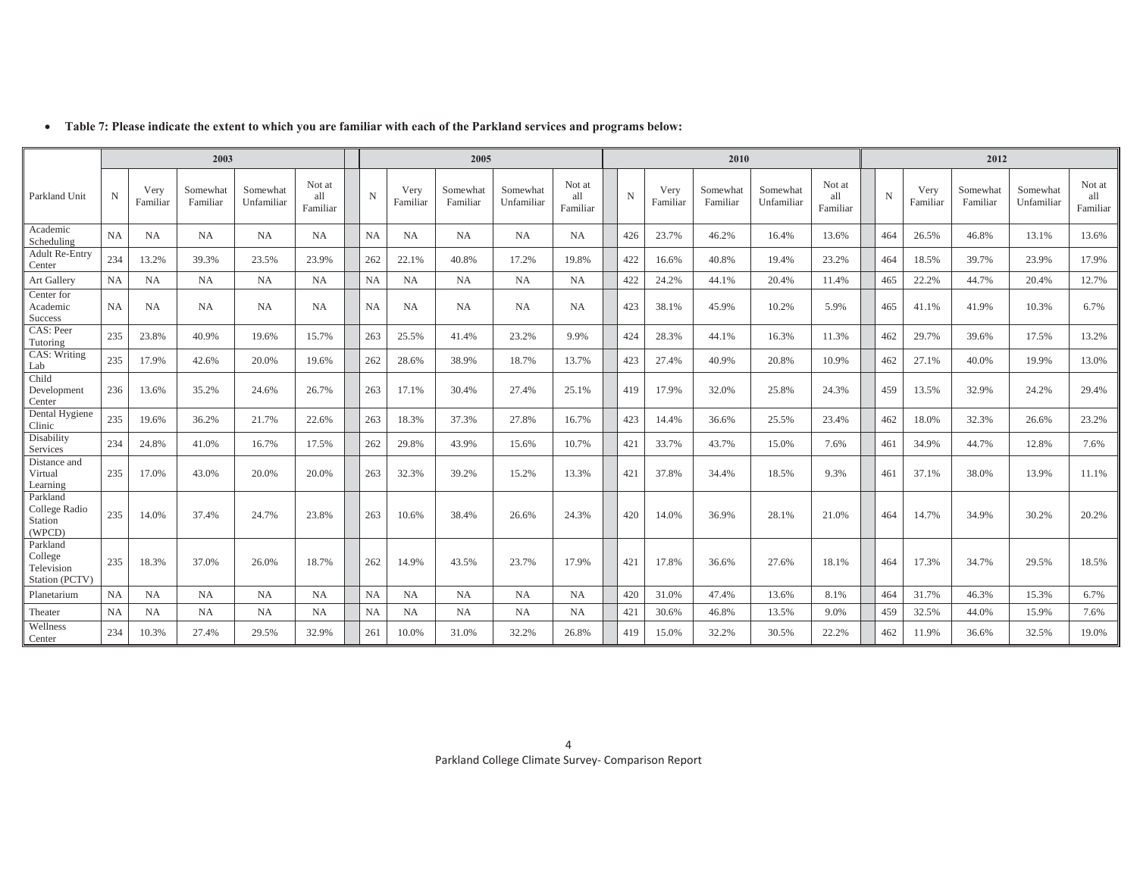|                                                     |             |                  | 2003                 |                        |                           |           |                  | 2005                 |                        |                           |     |                  | 2010                 |                        |                           |     |                  | 2012                 |                        |                           |
|-----------------------------------------------------|-------------|------------------|----------------------|------------------------|---------------------------|-----------|------------------|----------------------|------------------------|---------------------------|-----|------------------|----------------------|------------------------|---------------------------|-----|------------------|----------------------|------------------------|---------------------------|
| Parkland Unit                                       | $\mathbf N$ | Very<br>Familian | Somewhat<br>Familiar | Somewhat<br>Unfamiliar | Not at<br>all<br>Familiar | N         | Very<br>Familiar | Somewhat<br>Familiar | Somewhat<br>Unfamiliar | Not at<br>all<br>Familiar | N   | Very<br>Familiar | Somewhat<br>Familiar | Somewhat<br>Unfamiliar | Not at<br>all<br>Familiar | N   | Very<br>Familiar | Somewhat<br>Familiar | Somewhat<br>Unfamiliar | Not at<br>all<br>Familiar |
| Academic<br>Scheduling                              | NA          | NA               | <b>NA</b>            | NA                     | <b>NA</b>                 | NA        | <b>NA</b>        | <b>NA</b>            | NA                     | NA                        | 426 | 23.7%            | 46.2%                | 16.4%                  | 13.6%                     | 464 | 26.5%            | 46.8%                | 13.1%                  | 13.6%                     |
| <b>Adult Re-Entry</b><br>Center                     | 234         | 13.2%            | 39.3%                | 23.5%                  | 23.9%                     | 262       | 22.1%            | 40.8%                | 17.2%                  | 19.8%                     | 422 | 16.6%            | 40.8%                | 19.4%                  | 23.2%                     | 464 | 18.5%            | 39.7%                | 23.9%                  | 17.9%                     |
| Art Gallery                                         | <b>NA</b>   | <b>NA</b>        | <b>NA</b>            | <b>NA</b>              | <b>NA</b>                 | <b>NA</b> | NA               | <b>NA</b>            | NA                     | <b>NA</b>                 | 422 | 24.2%            | 44.1%                | 20.4%                  | 11.4%                     | 465 | 22.2%            | 44.7%                | 20.4%                  | 12.7%                     |
| Center for<br>Academic<br>Success                   | <b>NA</b>   | <b>NA</b>        | <b>NA</b>            | NA                     | <b>NA</b>                 | <b>NA</b> | <b>NA</b>        | NA                   | NA                     | <b>NA</b>                 | 423 | 38.1%            | 45.9%                | 10.2%                  | 5.9%                      | 465 | 41.1%            | 41.9%                | 10.3%                  | 6.7%                      |
| CAS: Peer<br>Tutoring                               | 235         | 23.8%            | 40.9%                | 19.6%                  | 15.7%                     | 263       | 25.5%            | 41.4%                | 23.2%                  | 9.9%                      | 424 | 28.3%            | 44.1%                | 16.3%                  | 11.3%                     | 462 | 29.7%            | 39.6%                | 17.5%                  | 13.2%                     |
| CAS: Writing<br>Lab                                 | 235         | 17.9%            | 42.6%                | 20.0%                  | 19.6%                     | 262       | 28.6%            | 38.9%                | 18.7%                  | 13.7%                     | 423 | 27.4%            | 40.9%                | 20.8%                  | 10.9%                     | 462 | 27.1%            | 40.0%                | 19.9%                  | 13.0%                     |
| Child<br>Development<br>Center                      | 236         | 13.6%            | 35.2%                | 24.6%                  | 26.7%                     | 263       | 17.1%            | 30.4%                | 27.4%                  | 25.1%                     | 419 | 17.9%            | 32.0%                | 25.8%                  | 24.3%                     | 459 | 13.5%            | 32.9%                | 24.2%                  | 29.4%                     |
| Dental Hygiene<br>Clinic                            | 235         | 19.6%            | 36.2%                | 21.7%                  | 22.6%                     | 263       | 18.3%            | 37.3%                | 27.8%                  | 16.7%                     | 423 | 14.4%            | 36.6%                | 25.5%                  | 23.4%                     | 462 | 18.0%            | 32.3%                | 26.6%                  | 23.2%                     |
| Disability<br>Services                              | 234         | 24.8%            | 41.0%                | 16.7%                  | 17.5%                     | 262       | 29.8%            | 43.9%                | 15.6%                  | 10.7%                     | 421 | 33.7%            | 43.7%                | 15.0%                  | 7.6%                      | 461 | 34.9%            | 44.7%                | 12.8%                  | 7.6%                      |
| Distance and<br>Virtual<br>Learning                 | 235         | 17.0%            | 43.0%                | 20.0%                  | 20.0%                     | 263       | 32.3%            | 39.2%                | 15.2%                  | 13.3%                     | 421 | 37.8%            | 34.4%                | 18.5%                  | 9.3%                      | 461 | 37.1%            | 38.0%                | 13.9%                  | 11.1%                     |
| Parkland<br>College Radio<br>Station<br>(WPCD)      | 235         | 14.0%            | 37.4%                | 24.7%                  | 23.8%                     | 263       | 10.6%            | 38.4%                | 26.6%                  | 24.3%                     | 420 | 14.0%            | 36.9%                | 28.1%                  | 21.0%                     | 464 | 14.7%            | 34.9%                | 30.2%                  | 20.2%                     |
| Parkland<br>College<br>Television<br>Station (PCTV) | 235         | 18.3%            | 37.0%                | 26.0%                  | 18.7%                     | 262       | 14.9%            | 43.5%                | 23.7%                  | 17.9%                     | 421 | 17.8%            | 36.6%                | 27.6%                  | 18.1%                     | 464 | 17.3%            | 34.7%                | 29.5%                  | 18.5%                     |
| Planetarium                                         | NA          | <b>NA</b>        | <b>NA</b>            | <b>NA</b>              | <b>NA</b>                 | <b>NA</b> | NA               | <b>NA</b>            | NA                     | <b>NA</b>                 | 420 | 31.0%            | 47.4%                | 13.6%                  | 8.1%                      | 464 | 31.7%            | 46.3%                | 15.3%                  | 6.7%                      |
| Theater                                             | NA          | <b>NA</b>        | <b>NA</b>            | <b>NA</b>              | <b>NA</b>                 | <b>NA</b> | <b>NA</b>        | <b>NA</b>            | <b>NA</b>              | <b>NA</b>                 | 421 | 30.6%            | 46.8%                | 13.5%                  | 9.0%                      | 459 | 32.5%            | 44.0%                | 15.9%                  | 7.6%                      |
| Wellness<br>Center                                  | 234         | 10.3%            | 27.4%                | 29.5%                  | 32.9%                     | 261       | 10.0%            | 31.0%                | 32.2%                  | 26.8%                     | 419 | 15.0%            | 32.2%                | 30.5%                  | 22.2%                     | 462 | 11.9%            | 36.6%                | 32.5%                  | 19.0%                     |

#### x **Table 7: Please indicate the extent to which you are familiar with each of the Parkland services and programs below:**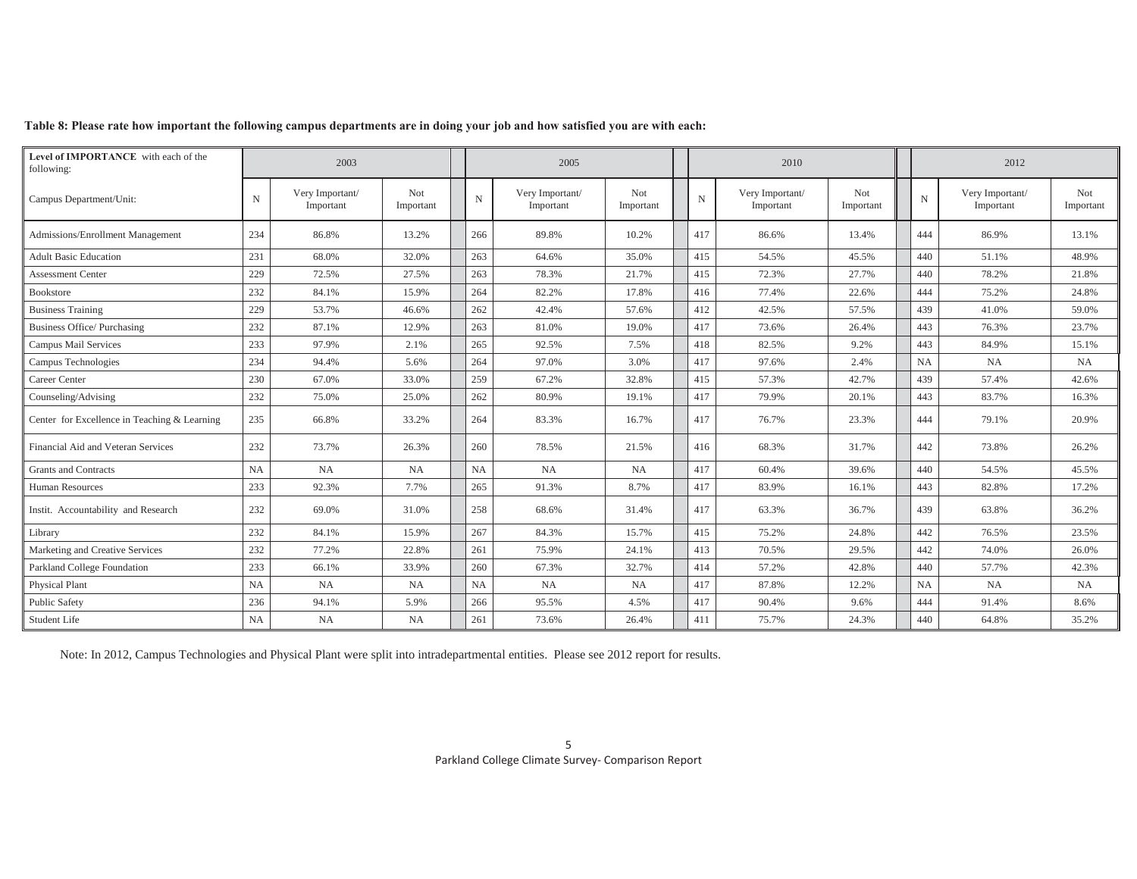|  | Table 8: Please rate how important the following campus departments are in doing your job and how satisfied you are with each: |  |  |  |
|--|--------------------------------------------------------------------------------------------------------------------------------|--|--|--|
|--|--------------------------------------------------------------------------------------------------------------------------------|--|--|--|

| Level of IMPORTANCE with each of the<br>following: |           | 2003                         |                  |     | 2005                         |                         |             | 2010                         |                         |             | 2012                         |                  |
|----------------------------------------------------|-----------|------------------------------|------------------|-----|------------------------------|-------------------------|-------------|------------------------------|-------------------------|-------------|------------------------------|------------------|
| Campus Department/Unit:                            | N         | Very Important/<br>Important | Not<br>Important | N   | Very Important/<br>Important | <b>Not</b><br>Important | $\mathbf N$ | Very Important/<br>Important | <b>Not</b><br>Important | $\mathbf N$ | Very Important/<br>Important | Not<br>Important |
| Admissions/Enrollment Management                   | 234       | 86.8%                        | 13.2%            | 266 | 89.8%                        | 10.2%                   | 417         | 86.6%                        | 13.4%                   | 444         | 86.9%                        | 13.1%            |
| <b>Adult Basic Education</b>                       | 231       | 68.0%                        | 32.0%            | 263 | 64.6%                        | 35.0%                   | 415         | 54.5%                        | 45.5%                   | 440         | 51.1%                        | 48.9%            |
| <b>Assessment Center</b>                           | 229       | 72.5%                        | 27.5%            | 263 | 78.3%                        | 21.7%                   | 415         | 72.3%                        | 27.7%                   | 440         | 78.2%                        | 21.8%            |
| Bookstore                                          | 232       | 84.1%                        | 15.9%            | 264 | 82.2%                        | 17.8%                   | 416         | 77.4%                        | 22.6%                   | 444         | 75.2%                        | 24.8%            |
| <b>Business Training</b>                           | 229       | 53.7%                        | 46.6%            | 262 | 42.4%                        | 57.6%                   | 412         | 42.5%                        | 57.5%                   | 439         | 41.0%                        | 59.0%            |
| <b>Business Office/Purchasing</b>                  | 232       | 87.1%                        | 12.9%            | 263 | 81.0%                        | 19.0%                   | 417         | 73.6%                        | 26.4%                   | 443         | 76.3%                        | 23.7%            |
| Campus Mail Services                               | 233       | 97.9%                        | 2.1%             | 265 | 92.5%                        | 7.5%                    | 418         | 82.5%                        | 9.2%                    | 443         | 84.9%                        | 15.1%            |
| Campus Technologies                                | 234       | 94.4%                        | 5.6%             | 264 | 97.0%                        | 3.0%                    | 417         | 97.6%                        | 2.4%                    | NA          | <b>NA</b>                    | <b>NA</b>        |
| Career Center                                      | 230       | 67.0%                        | 33.0%            | 259 | 67.2%                        | 32.8%                   | 415         | 57.3%                        | 42.7%                   | 439         | 57.4%                        | 42.6%            |
| Counseling/Advising                                | 232       | 75.0%                        | 25.0%            | 262 | 80.9%                        | 19.1%                   | 417         | 79.9%                        | 20.1%                   | 443         | 83.7%                        | 16.3%            |
| Center for Excellence in Teaching & Learning       | 235       | 66.8%                        | 33.2%            | 264 | 83.3%                        | 16.7%                   | 417         | 76.7%                        | 23.3%                   | 444         | 79.1%                        | 20.9%            |
| Financial Aid and Veteran Services                 | 232       | 73.7%                        | 26.3%            | 260 | 78.5%                        | 21.5%                   | 416         | 68.3%                        | 31.7%                   | 442         | 73.8%                        | 26.2%            |
| <b>Grants and Contracts</b>                        | <b>NA</b> | NA                           | <b>NA</b>        | NA  | <b>NA</b>                    | <b>NA</b>               | 417         | 60.4%                        | 39.6%                   | 440         | 54.5%                        | 45.5%            |
| Human Resources                                    | 233       | 92.3%                        | 7.7%             | 265 | 91.3%                        | 8.7%                    | 417         | 83.9%                        | 16.1%                   | 443         | 82.8%                        | 17.2%            |
| Instit. Accountability and Research                | 232       | 69.0%                        | 31.0%            | 258 | 68.6%                        | 31.4%                   | 417         | 63.3%                        | 36.7%                   | 439         | 63.8%                        | 36.2%            |
| Library                                            | 232       | 84.1%                        | 15.9%            | 267 | 84.3%                        | 15.7%                   | 415         | 75.2%                        | 24.8%                   | 442         | 76.5%                        | 23.5%            |
| Marketing and Creative Services                    | 232       | 77.2%                        | 22.8%            | 261 | 75.9%                        | 24.1%                   | 413         | 70.5%                        | 29.5%                   | 442         | 74.0%                        | 26.0%            |
| Parkland College Foundation                        | 233       | 66.1%                        | 33.9%            | 260 | 67.3%                        | 32.7%                   | 414         | 57.2%                        | 42.8%                   | 440         | 57.7%                        | 42.3%            |
| Physical Plant                                     | <b>NA</b> | <b>NA</b>                    | <b>NA</b>        | NA  | <b>NA</b>                    | NA                      | 417         | 87.8%                        | 12.2%                   | <b>NA</b>   | NA                           | <b>NA</b>        |
| Public Safety                                      | 236       | 94.1%                        | 5.9%             | 266 | 95.5%                        | 4.5%                    | 417         | 90.4%                        | 9.6%                    | 444         | 91.4%                        | 8.6%             |
| Student Life                                       | NA        | <b>NA</b>                    | <b>NA</b>        | 261 | 73.6%                        | 26.4%                   | 411         | 75.7%                        | 24.3%                   | 440         | 64.8%                        | 35.2%            |

Note: In 2012, Campus Technologies and Physical Plant were split into intradepartmental entities. Please see 2012 report for results.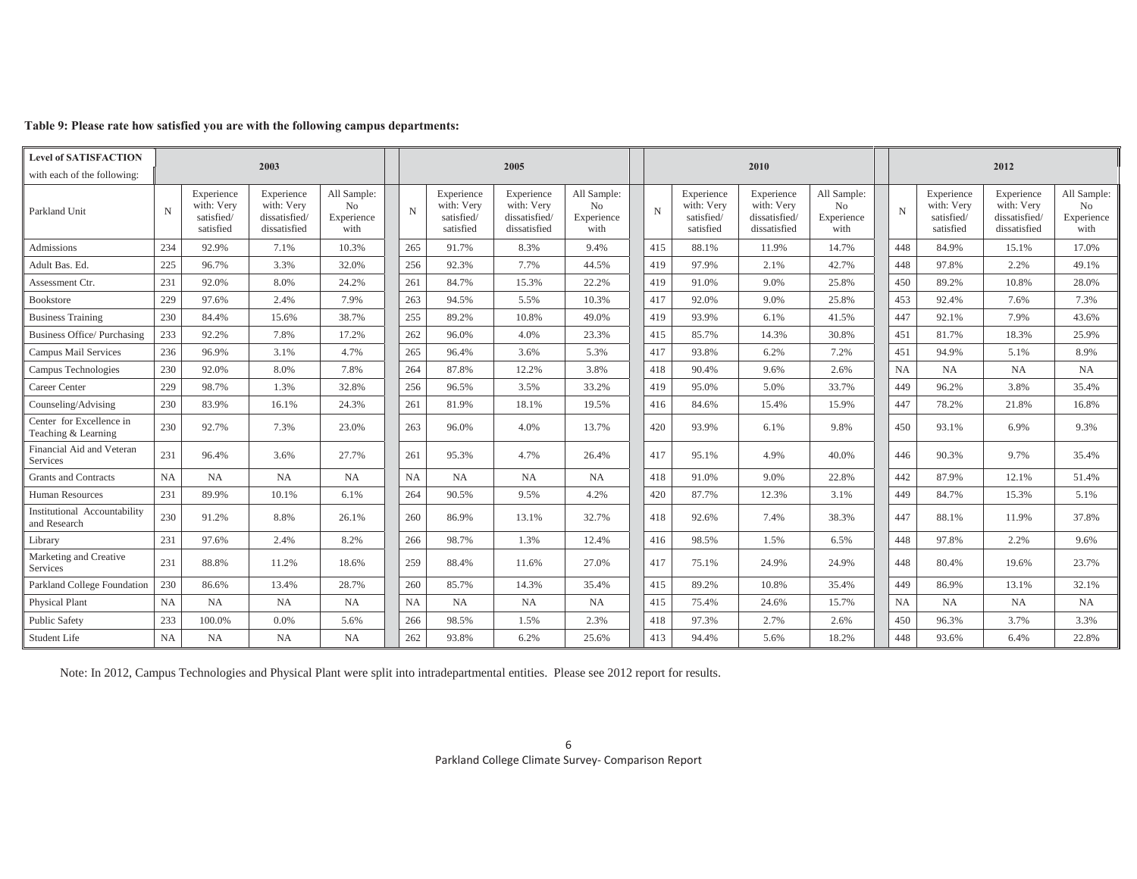| <b>Level of SATISFACTION</b>                    |             |                                                     |                                                           |                                                     |             |                                                     |                                                           |                                                     |             |                                                     |                                                           |                                                     |     |                                                     |                                                           |                                         |
|-------------------------------------------------|-------------|-----------------------------------------------------|-----------------------------------------------------------|-----------------------------------------------------|-------------|-----------------------------------------------------|-----------------------------------------------------------|-----------------------------------------------------|-------------|-----------------------------------------------------|-----------------------------------------------------------|-----------------------------------------------------|-----|-----------------------------------------------------|-----------------------------------------------------------|-----------------------------------------|
| with each of the following:                     |             |                                                     | 2003                                                      |                                                     |             |                                                     | 2005                                                      |                                                     |             |                                                     | 2010                                                      |                                                     |     |                                                     | 2012                                                      |                                         |
| Parkland Unit                                   | $\mathbf N$ | Experience<br>with: Verv<br>satisfied/<br>satisfied | Experience<br>with: Verv<br>dissatisfied/<br>dissatisfied | All Sample:<br>N <sub>o</sub><br>Experience<br>with | $\mathbf N$ | Experience<br>with: Verv<br>satisfied/<br>satisfied | Experience<br>with: Verv<br>dissatisfied/<br>dissatisfied | All Sample:<br>N <sub>o</sub><br>Experience<br>with | $\mathbf N$ | Experience<br>with: Verv<br>satisfied/<br>satisfied | Experience<br>with: Very<br>dissatisfied/<br>dissatisfied | All Sample:<br>N <sub>o</sub><br>Experience<br>with | N   | Experience<br>with: Verv<br>satisfied/<br>satisfied | Experience<br>with: Verv<br>dissatisfied/<br>dissatisfied | All Sample:<br>No<br>Experience<br>with |
| Admissions                                      | 234         | 92.9%                                               | 7.1%                                                      | 10.3%                                               | 265         | 91.7%                                               | 8.3%                                                      | 9.4%                                                | 415         | 88.1%                                               | 11.9%                                                     | 14.7%                                               | 448 | 84.9%                                               | 15.1%                                                     | 17.0%                                   |
| Adult Bas. Ed.                                  | 225         | 96.7%                                               | 3.3%                                                      | 32.0%                                               | 256         | 92.3%                                               | 7.7%                                                      | 44.5%                                               | 419         | 97.9%                                               | 2.1%                                                      | 42.7%                                               | 448 | 97.8%                                               | 2.2%                                                      | 49.1%                                   |
| Assessment Ctr.                                 | 231         | 92.0%                                               | 8.0%                                                      | 24.2%                                               | 261         | 84.7%                                               | 15.3%                                                     | 22.2%                                               | 419         | 91.0%                                               | 9.0%                                                      | 25.8%                                               | 450 | 89.2%                                               | 10.8%                                                     | 28.0%                                   |
| Bookstore                                       | 229         | 97.6%                                               | 2.4%                                                      | 7.9%                                                | 263         | 94.5%                                               | 5.5%                                                      | 10.3%                                               | 417         | 92.0%                                               | 9.0%                                                      | 25.8%                                               | 453 | 92.4%                                               | 7.6%                                                      | 7.3%                                    |
| <b>Business Training</b>                        | 230         | 84.4%                                               | 15.6%                                                     | 38.7%                                               | 255         | 89.2%                                               | 10.8%                                                     | 49.0%                                               | 419         | 93.9%                                               | 6.1%                                                      | 41.5%                                               | 447 | 92.1%                                               | 7.9%                                                      | 43.6%                                   |
| <b>Business Office/Purchasing</b>               | 233         | 92.2%                                               | 7.8%                                                      | 17.2%                                               | 262         | 96.0%                                               | 4.0%                                                      | 23.3%                                               | 415         | 85.7%                                               | 14.3%                                                     | 30.8%                                               | 451 | 81.7%                                               | 18.3%                                                     | 25.9%                                   |
| Campus Mail Services                            | 236         | 96.9%                                               | 3.1%                                                      | 4.7%                                                | 265         | 96.4%                                               | 3.6%                                                      | 5.3%                                                | 417         | 93.8%                                               | 6.2%                                                      | 7.2%                                                | 451 | 94.9%                                               | 5.1%                                                      | 8.9%                                    |
| Campus Technologies                             | 230         | 92.0%                                               | 8.0%                                                      | 7.8%                                                | 264         | 87.8%                                               | 12.2%                                                     | 3.8%                                                | 418         | 90.4%                                               | 9.6%                                                      | 2.6%                                                | NA  | NA                                                  | <b>NA</b>                                                 | NA                                      |
| Career Center                                   | 229         | 98.7%                                               | 1.3%                                                      | 32.8%                                               | 256         | 96.5%                                               | 3.5%                                                      | 33.2%                                               | 419         | 95.0%                                               | 5.0%                                                      | 33.7%                                               | 449 | 96.2%                                               | 3.8%                                                      | 35.4%                                   |
| Counseling/Advising                             | 230         | 83.9%                                               | 16.1%                                                     | 24.3%                                               | 261         | 81.9%                                               | 18.1%                                                     | 19.5%                                               | 416         | 84.6%                                               | 15.4%                                                     | 15.9%                                               | 447 | 78.2%                                               | 21.8%                                                     | 16.8%                                   |
| Center for Excellence in<br>Teaching & Learning | 230         | 92.7%                                               | 7.3%                                                      | 23.0%                                               | 263         | 96.0%                                               | 4.0%                                                      | 13.7%                                               | 420         | 93.9%                                               | 6.1%                                                      | 9.8%                                                | 450 | 93.1%                                               | 6.9%                                                      | 9.3%                                    |
| Financial Aid and Veteran<br>Services           | 231         | 96.4%                                               | 3.6%                                                      | 27.7%                                               | 261         | 95.3%                                               | 4.7%                                                      | 26.4%                                               | 417         | 95.1%                                               | 4.9%                                                      | 40.0%                                               | 446 | 90.3%                                               | 9.7%                                                      | 35.4%                                   |
| <b>Grants and Contracts</b>                     | <b>NA</b>   | NA                                                  | <b>NA</b>                                                 | NA                                                  | NA          | NA                                                  | <b>NA</b>                                                 | <b>NA</b>                                           | 418         | 91.0%                                               | 9.0%                                                      | 22.8%                                               | 442 | 87.9%                                               | 12.1%                                                     | 51.4%                                   |
| Human Resources                                 | 231         | 89.9%                                               | 10.1%                                                     | 6.1%                                                | 264         | 90.5%                                               | 9.5%                                                      | 4.2%                                                | 420         | 87.7%                                               | 12.3%                                                     | 3.1%                                                | 449 | 84.7%                                               | 15.3%                                                     | 5.1%                                    |
| Institutional Accountability<br>and Research    | 230         | 91.2%                                               | 8.8%                                                      | 26.1%                                               | 260         | 86.9%                                               | 13.1%                                                     | 32.7%                                               | 418         | 92.6%                                               | 7.4%                                                      | 38.3%                                               | 447 | 88.1%                                               | 11.9%                                                     | 37.8%                                   |
| Library                                         | 231         | 97.6%                                               | 2.4%                                                      | 8.2%                                                | 266         | 98.7%                                               | 1.3%                                                      | 12.4%                                               | 416         | 98.5%                                               | 1.5%                                                      | 6.5%                                                | 448 | 97.8%                                               | 2.2%                                                      | 9.6%                                    |
| Marketing and Creative<br>Services              | 231         | 88.8%                                               | 11.2%                                                     | 18.6%                                               | 259         | 88.4%                                               | 11.6%                                                     | 27.0%                                               | 417         | 75.1%                                               | 24.9%                                                     | 24.9%                                               | 448 | 80.4%                                               | 19.6%                                                     | 23.7%                                   |
| Parkland College Foundation                     | 230         | 86.6%                                               | 13.4%                                                     | 28.7%                                               | 260         | 85.7%                                               | 14.3%                                                     | 35.4%                                               | 415         | 89.2%                                               | 10.8%                                                     | 35.4%                                               | 449 | 86.9%                                               | 13.1%                                                     | 32.1%                                   |
| Physical Plant                                  | <b>NA</b>   | NA                                                  | NA                                                        | NA                                                  | NA          | <b>NA</b>                                           | <b>NA</b>                                                 | NA                                                  | 415         | 75.4%                                               | 24.6%                                                     | 15.7%                                               | NA  | NA                                                  | <b>NA</b>                                                 | NA                                      |
| <b>Public Safety</b>                            | 233         | 100.0%                                              | 0.0%                                                      | 5.6%                                                | 266         | 98.5%                                               | 1.5%                                                      | 2.3%                                                | 418         | 97.3%                                               | 2.7%                                                      | 2.6%                                                | 450 | 96.3%                                               | 3.7%                                                      | 3.3%                                    |
| Student Life                                    | NA          | <b>NA</b>                                           | <b>NA</b>                                                 | <b>NA</b>                                           | 262         | 93.8%                                               | 6.2%                                                      | 25.6%                                               | 413         | 94.4%                                               | 5.6%                                                      | 18.2%                                               | 448 | 93.6%                                               | 6.4%                                                      | 22.8%                                   |

### **Table 9: Please rate how satisfied you are with the following campus departments:**

Note: In 2012, Campus Technologies and Physical Plant were split into intradepartmental entities. Please see 2012 report for results.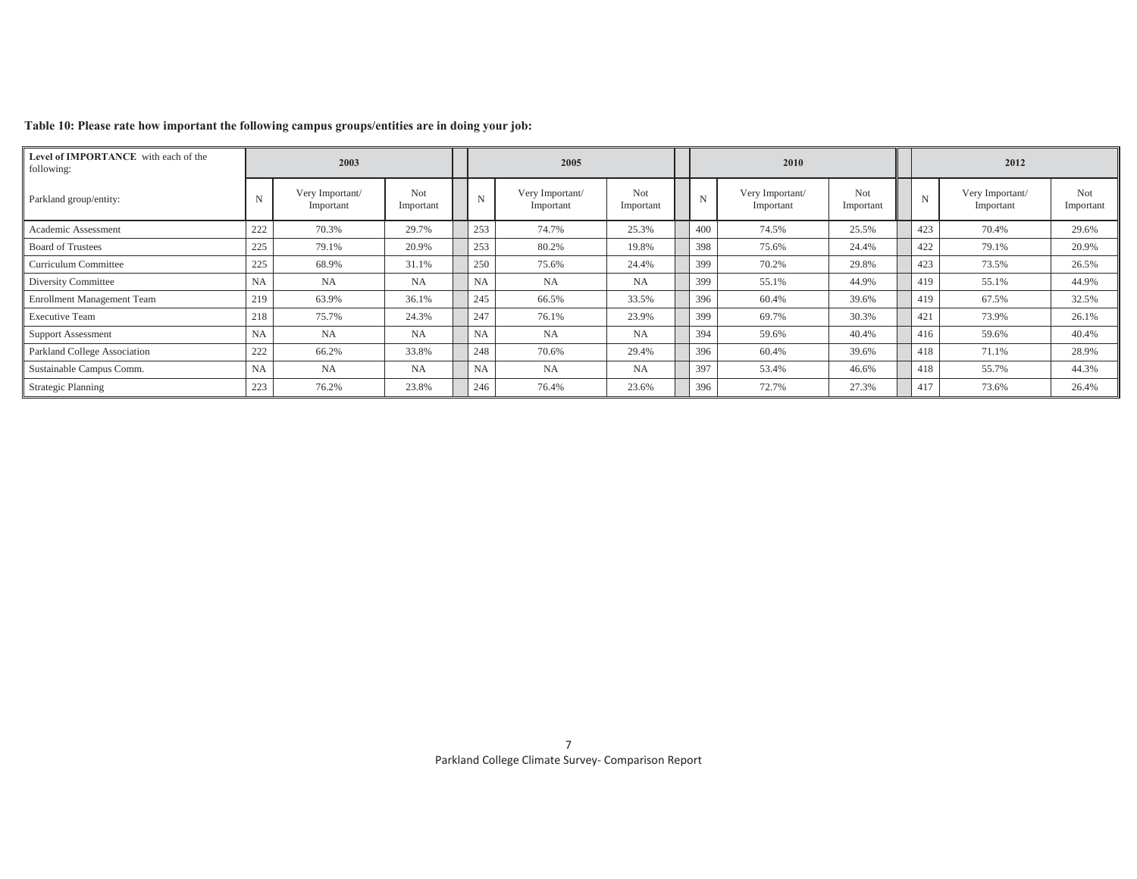| Level of IMPORTANCE with each of the<br>following: |           | 2003                         |                  |             | 2005                         |                  |             | 2010                         |                  |     | 2012                         |                  |
|----------------------------------------------------|-----------|------------------------------|------------------|-------------|------------------------------|------------------|-------------|------------------------------|------------------|-----|------------------------------|------------------|
| Parkland group/entity:                             | N         | Very Important/<br>Important | Not<br>Important | $\mathbf N$ | Very Important/<br>Important | Not<br>Important | $\mathbf N$ | Very Important/<br>Important | Not<br>Important | N   | Very Important/<br>Important | Not<br>Important |
| Academic Assessment                                | 222       | 70.3%                        | 29.7%            | 253         | 74.7%                        | 25.3%            | 400         | 74.5%                        | 25.5%            | 423 | 70.4%                        | 29.6%            |
| <b>Board of Trustees</b>                           | 225       | 79.1%                        | 20.9%            | 253         | 80.2%                        | 19.8%            | 398         | 75.6%                        | 24.4%            | 422 | 79.1%                        | 20.9%            |
| Curriculum Committee                               | 225       | 68.9%                        | 31.1%            | 250         | 75.6%                        | 24.4%            | 399         | 70.2%                        | 29.8%            | 423 | 73.5%                        | 26.5%            |
| Diversity Committee                                | NA        | <b>NA</b>                    | NA               | <b>NA</b>   | <b>NA</b>                    | <b>NA</b>        | 399         | 55.1%                        | 44.9%            | 419 | 55.1%                        | 44.9%            |
| <b>Enrollment Management Team</b>                  | 219       | 63.9%                        | 36.1%            | 245         | 66.5%                        | 33.5%            | 396         | 60.4%                        | 39.6%            | 419 | 67.5%                        | 32.5%            |
| <b>Executive Team</b>                              | 218       | 75.7%                        | 24.3%            | 247         | 76.1%                        | 23.9%            | 399         | 69.7%                        | 30.3%            | 421 | 73.9%                        | 26.1%            |
| <b>Support Assessment</b>                          | <b>NA</b> | <b>NA</b>                    | NA               | <b>NA</b>   | <b>NA</b>                    | <b>NA</b>        | 394         | 59.6%                        | 40.4%            | 416 | 59.6%                        | 40.4%            |
| Parkland College Association                       | 222       | 66.2%                        | 33.8%            | 248         | 70.6%                        | 29.4%            | 396         | 60.4%                        | 39.6%            | 418 | 71.1%                        | 28.9%            |
| Sustainable Campus Comm.                           | NA        | <b>NA</b>                    | NA               | NA          | NA                           | <b>NA</b>        | 397         | 53.4%                        | 46.6%            | 418 | 55.7%                        | 44.3%            |
| <b>Strategic Planning</b>                          | 223       | 76.2%                        | 23.8%            | 246         | 76.4%                        | 23.6%            | 396         | 72.7%                        | 27.3%            | 417 | 73.6%                        | 26.4%            |

## **Table 10: Please rate how important the following campus groups/entities are in doing your job:**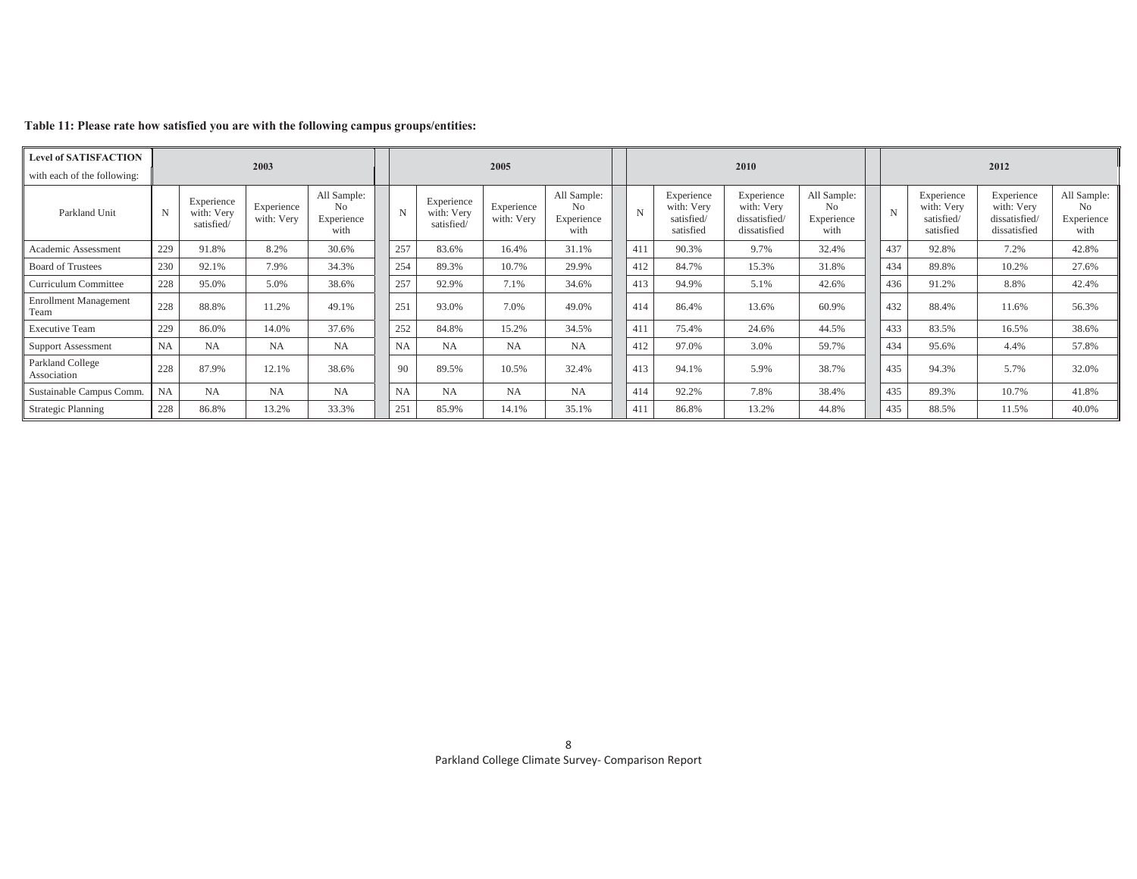| <b>Level of SATISFACTION</b>         |           |                                        | 2003                     |                                          |           |                                        | 2005                     |                                         |             |                                                     | 2010                                                      |                                                     |             |                                                     | 2012                                                      |                                                     |
|--------------------------------------|-----------|----------------------------------------|--------------------------|------------------------------------------|-----------|----------------------------------------|--------------------------|-----------------------------------------|-------------|-----------------------------------------------------|-----------------------------------------------------------|-----------------------------------------------------|-------------|-----------------------------------------------------|-----------------------------------------------------------|-----------------------------------------------------|
| with each of the following:          |           |                                        |                          |                                          |           |                                        |                          |                                         |             |                                                     |                                                           |                                                     |             |                                                     |                                                           |                                                     |
| Parkland Unit                        | N         | Experience<br>with: Very<br>satisfied/ | Experience<br>with: Very | All Sample:<br>No.<br>Experience<br>with | N         | Experience<br>with: Very<br>satisfied/ | Experience<br>with: Very | All Sample:<br>No<br>Experience<br>with | $\mathbf N$ | Experience<br>with: Very<br>satisfied/<br>satisfied | Experience<br>with: Very<br>dissatisfied/<br>dissatisfied | All Sample:<br>N <sub>0</sub><br>Experience<br>with | $\mathbf N$ | Experience<br>with: Very<br>satisfied/<br>satisfied | Experience<br>with: Very<br>dissatisfied/<br>dissatisfied | All Sample:<br>N <sub>0</sub><br>Experience<br>with |
| Academic Assessment                  | 229       | 91.8%                                  | 8.2%                     | 30.6%                                    | 257       | 83.6%                                  | 16.4%                    | 31.1%                                   | 411         | 90.3%                                               | 9.7%                                                      | 32.4%                                               | 437         | 92.8%                                               | 7.2%                                                      | 42.8%                                               |
| <b>Board of Trustees</b>             | 230       | 92.1%                                  | 7.9%                     | 34.3%                                    | 254       | 89.3%                                  | 10.7%                    | 29.9%                                   | 412         | 84.7%                                               | 15.3%                                                     | 31.8%                                               | 434         | 89.8%                                               | 10.2%                                                     | 27.6%                                               |
| Curriculum Committee                 | 228       | 95.0%                                  | 5.0%                     | 38.6%                                    | 257       | 92.9%                                  | 7.1%                     | 34.6%                                   | 413         | 94.9%                                               | 5.1%                                                      | 42.6%                                               | 436         | 91.2%                                               | 8.8%                                                      | 42.4%                                               |
| <b>Enrollment Management</b><br>Team | 228       | 88.8%                                  | 11.2%                    | 49.1%                                    | 251       | 93.0%                                  | 7.0%                     | 49.0%                                   | 414         | 86.4%                                               | 13.6%                                                     | 60.9%                                               | 432         | 88.4%                                               | 11.6%                                                     | 56.3%                                               |
| <b>Executive Team</b>                | 229       | 86.0%                                  | 14.0%                    | 37.6%                                    | 252       | 84.8%                                  | 15.2%                    | 34.5%                                   | 411         | 75.4%                                               | 24.6%                                                     | 44.5%                                               | 433         | 83.5%                                               | 16.5%                                                     | 38.6%                                               |
| <b>Support Assessment</b>            | NA        | <b>NA</b>                              | <b>NA</b>                | <b>NA</b>                                | <b>NA</b> | <b>NA</b>                              | <b>NA</b>                | <b>NA</b>                               | 412         | 97.0%                                               | 3.0%                                                      | 59.7%                                               | 434         | 95.6%                                               | 4.4%                                                      | 57.8%                                               |
| Parkland College<br>Association      | 228       | 87.9%                                  | 12.1%                    | 38.6%                                    | 90        | 89.5%                                  | 10.5%                    | 32.4%                                   | 413         | 94.1%                                               | 5.9%                                                      | 38.7%                                               | 435         | 94.3%                                               | 5.7%                                                      | 32.0%                                               |
| Sustainable Campus Comm.             | <b>NA</b> | <b>NA</b>                              | <b>NA</b>                | <b>NA</b>                                | <b>NA</b> | <b>NA</b>                              | NA                       | <b>NA</b>                               | 414         | 92.2%                                               | 7.8%                                                      | 38.4%                                               | 435         | 89.3%                                               | 10.7%                                                     | 41.8%                                               |
| <b>Strategic Planning</b>            | 228       | 86.8%                                  | 13.2%                    | 33.3%                                    | 251       | 85.9%                                  | 14.1%                    | 35.1%                                   | 411         | 86.8%                                               | 13.2%                                                     | 44.8%                                               | 435         | 88.5%                                               | 11.5%                                                     | 40.0%                                               |

## **Table 11: Please rate how satisfied you are with the following campus groups/entities:**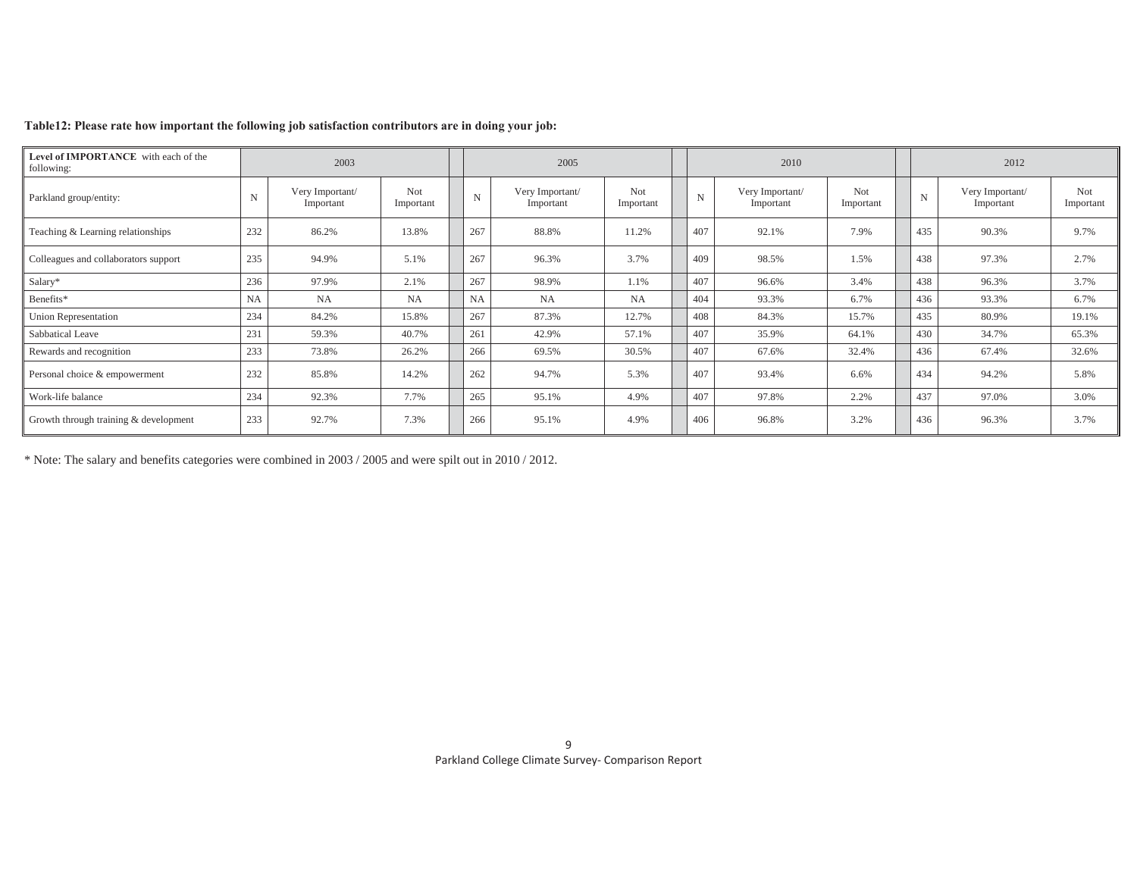| Level of IMPORTANCE with each of the<br>following: |     | 2003                         |                  |             | 2005                         |                         |             | 2010                         |                         |     | 2012                         |                         |
|----------------------------------------------------|-----|------------------------------|------------------|-------------|------------------------------|-------------------------|-------------|------------------------------|-------------------------|-----|------------------------------|-------------------------|
| Parkland group/entity:                             | N   | Very Important/<br>Important | Not<br>Important | $\mathbf N$ | Very Important/<br>Important | <b>Not</b><br>Important | $\mathbf N$ | Very Important/<br>Important | <b>Not</b><br>Important | N   | Very Important/<br>Important | <b>Not</b><br>Important |
| Teaching & Learning relationships                  | 232 | 86.2%                        | 13.8%            | 267         | 88.8%                        | 11.2%                   | 407         | 92.1%                        | 7.9%                    | 435 | 90.3%                        | 9.7%                    |
| Colleagues and collaborators support               | 235 | 94.9%                        | 5.1%             | 267         | 96.3%                        | 3.7%                    | 409         | 98.5%                        | 1.5%                    | 438 | 97.3%                        | 2.7%                    |
| Salary*                                            | 236 | 97.9%                        | 2.1%             | 267         | 98.9%                        | 1.1%                    | 407         | 96.6%                        | 3.4%                    | 438 | 96.3%                        | 3.7%                    |
| Benefits*                                          | NA  | <b>NA</b>                    | <b>NA</b>        | <b>NA</b>   | NA                           | <b>NA</b>               | 404         | 93.3%                        | 6.7%                    | 436 | 93.3%                        | 6.7%                    |
| Union Representation                               | 234 | 84.2%                        | 15.8%            | 267         | 87.3%                        | 12.7%                   | 408         | 84.3%                        | 15.7%                   | 435 | 80.9%                        | 19.1%                   |
| Sabbatical Leave                                   | 231 | 59.3%                        | 40.7%            | 261         | 42.9%                        | 57.1%                   | 407         | 35.9%                        | 64.1%                   | 430 | 34.7%                        | 65.3%                   |
| Rewards and recognition                            | 233 | 73.8%                        | 26.2%            | 266         | 69.5%                        | 30.5%                   | 407         | 67.6%                        | 32.4%                   | 436 | 67.4%                        | 32.6%                   |
| Personal choice & empowerment                      | 232 | 85.8%                        | 14.2%            | 262         | 94.7%                        | 5.3%                    | 407         | 93.4%                        | 6.6%                    | 434 | 94.2%                        | 5.8%                    |
| Work-life balance                                  | 234 | 92.3%                        | 7.7%             | 265         | 95.1%                        | 4.9%                    | 407         | 97.8%                        | 2.2%                    | 437 | 97.0%                        | 3.0%                    |
| Growth through training & development              | 233 | 92.7%                        | 7.3%             | 266         | 95.1%                        | 4.9%                    | 406         | 96.8%                        | 3.2%                    | 436 | 96.3%                        | 3.7%                    |

### **Table12: Please rate how important the following job satisfaction contributors are in doing your job:**

\* Note: The salary and benefits categories were combined in 2003 / 2005 and were spilt out in 2010 / 2012.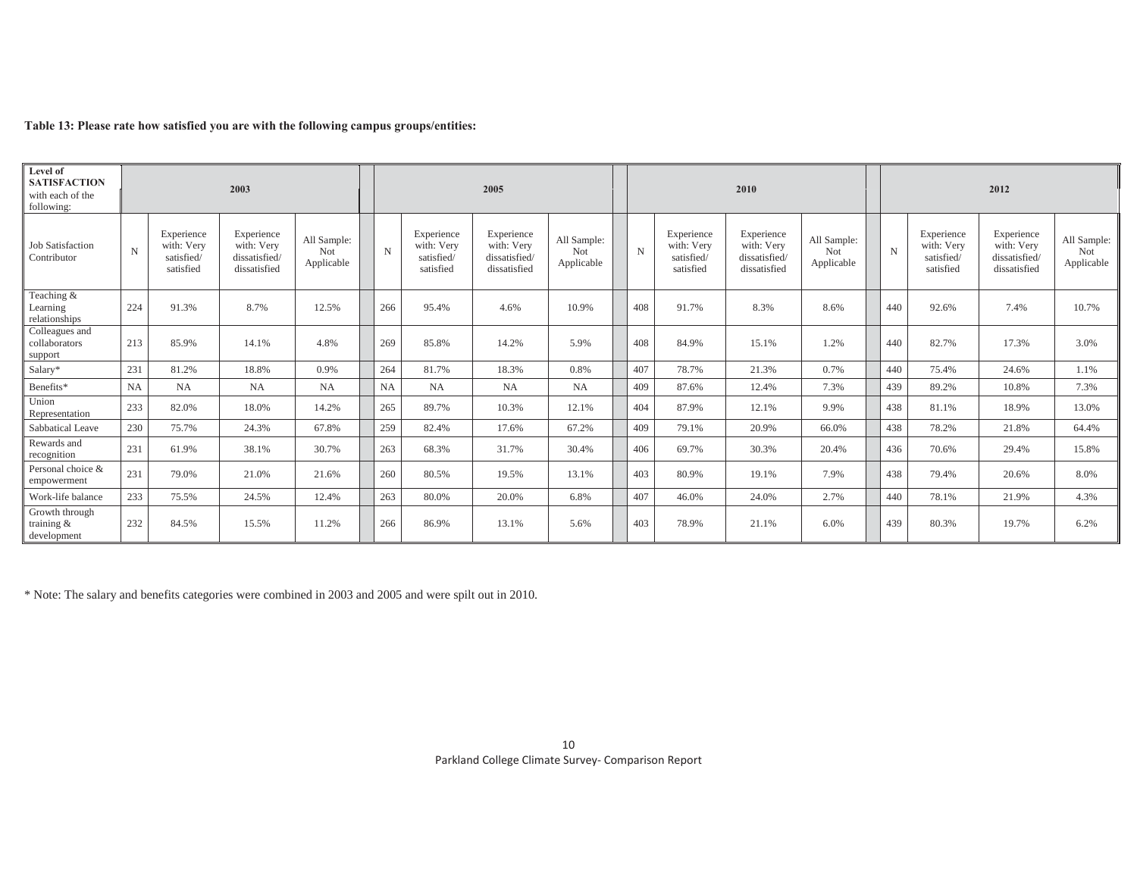|  | Table 13: Please rate how satisfied you are with the following campus groups/entities: |  |  |  |
|--|----------------------------------------------------------------------------------------|--|--|--|
|--|----------------------------------------------------------------------------------------|--|--|--|

| Level of<br><b>SATISFACTION</b><br>with each of the<br>following: |                       |                                                     | 2003                                                      |                                         |       |                                                     | 2005                                                     |                                  |       |                                                     | 2010                                                      |                                  |             |                                                     | 2012                                                      |                                  |
|-------------------------------------------------------------------|-----------------------|-----------------------------------------------------|-----------------------------------------------------------|-----------------------------------------|-------|-----------------------------------------------------|----------------------------------------------------------|----------------------------------|-------|-----------------------------------------------------|-----------------------------------------------------------|----------------------------------|-------------|-----------------------------------------------------|-----------------------------------------------------------|----------------------------------|
| <b>Job Satisfaction</b><br>Contributor                            | N                     | Experience<br>with: Very<br>satisfied/<br>satisfied | Experience<br>with: Verv<br>dissatisfied/<br>dissatisfied | All Sample:<br><b>Not</b><br>Applicable | N     | Experience<br>with: Verv<br>satisfied/<br>satisfied | Experience<br>with: Verv<br>dissatisfied<br>dissatisfied | All Sample:<br>Not<br>Applicable | N     | Experience<br>with: Very<br>satisfied/<br>satisfied | Experience<br>with: Very<br>dissatisfied/<br>dissatisfied | All Sample:<br>Not<br>Applicable | $\mathbf N$ | Experience<br>with: Very<br>satisfied/<br>satisfied | Experience<br>with: Very<br>dissatisfied/<br>dissatisfied | All Sample:<br>Not<br>Applicable |
| Teaching &<br>Learning<br>relationships                           | 224                   | 91.3%                                               | 8.7%                                                      | 12.5%                                   | 266   | 95.4%                                               | 4.6%                                                     | 10.9%                            | 408   | 91.7%                                               | 8.3%                                                      | 8.6%                             | 440         | 92.6%                                               | 7.4%                                                      | 10.7%                            |
| Colleagues and<br>collaborators<br>support                        | 213<br>85.9%<br>14.1% |                                                     | 4.8%                                                      | 269                                     | 85.8% | 14.2%                                               | 5.9%                                                     | 408                              | 84.9% | 15.1%                                               | 1.2%                                                      | 440                              | 82.7%       | 17.3%                                               | 3.0%                                                      |                                  |
| Salary*                                                           | 231                   | 81.2%                                               | 18.8%                                                     | 0.9%                                    | 264   | 81.7%                                               | 18.3%                                                    | 0.8%                             | 407   | 78.7%                                               | 21.3%                                                     | 0.7%                             | 440         | 75.4%                                               | 24.6%                                                     | 1.1%                             |
| Benefits*                                                         | NA                    | NA                                                  | NA                                                        | <b>NA</b>                               | NA    | NA                                                  | <b>NA</b>                                                | NA                               | 409   | 87.6%                                               | 12.4%                                                     | 7.3%                             | 439         | 89.2%                                               | 10.8%                                                     | 7.3%                             |
| Union<br>Representation                                           | 233                   | 82.0%                                               | 18.0%                                                     | 14.2%                                   | 265   | 89.7%                                               | 10.3%                                                    | 12.1%                            | 404   | 87.9%                                               | 12.1%                                                     | 9.9%                             | 438         | 81.1%                                               | 18.9%                                                     | 13.0%                            |
| Sabbatical Leave                                                  | 230                   | 75.7%                                               | 24.3%                                                     | 67.8%                                   | 259   | 82.4%                                               | 17.6%                                                    | 67.2%                            | 409   | 79.1%                                               | 20.9%                                                     | 66.0%                            | 438         | 78.2%                                               | 21.8%                                                     | 64.4%                            |
| Rewards and<br>recognition                                        | 231                   | 61.9%                                               | 38.1%                                                     | 30.7%                                   | 263   | 68.3%                                               | 31.7%                                                    | 30.4%                            | 406   | 69.7%                                               | 30.3%                                                     | 20.4%                            | 436         | 70.6%                                               | 29.4%                                                     | 15.8%                            |
| Personal choice &<br>empowerment                                  | 231                   | 79.0%                                               | 21.0%                                                     | 21.6%                                   | 260   | 80.5%                                               | 19.5%                                                    | 13.1%                            | 403   | 80.9%                                               | 19.1%                                                     | 7.9%                             | 438         | 79.4%                                               | 20.6%                                                     | 8.0%                             |
| Work-life balance                                                 | 233                   | 75.5%                                               | 24.5%                                                     | 12.4%                                   | 263   | 80.0%                                               | 20.0%                                                    | 6.8%                             | 407   | 46.0%                                               | 24.0%                                                     | 2.7%                             | 440         | 78.1%                                               | 21.9%                                                     | 4.3%                             |
| Growth through<br>training &<br>development                       | 232                   | 84.5%                                               | 15.5%                                                     | 11.2%                                   | 266   | 86.9%                                               | 13.1%                                                    | 5.6%                             | 403   | 78.9%                                               | 21.1%                                                     | 6.0%                             | 439         | 80.3%                                               | 19.7%                                                     | 6.2%                             |

\* Note: The salary and benefits categories were combined in 2003 and 2005 and were spilt out in 2010.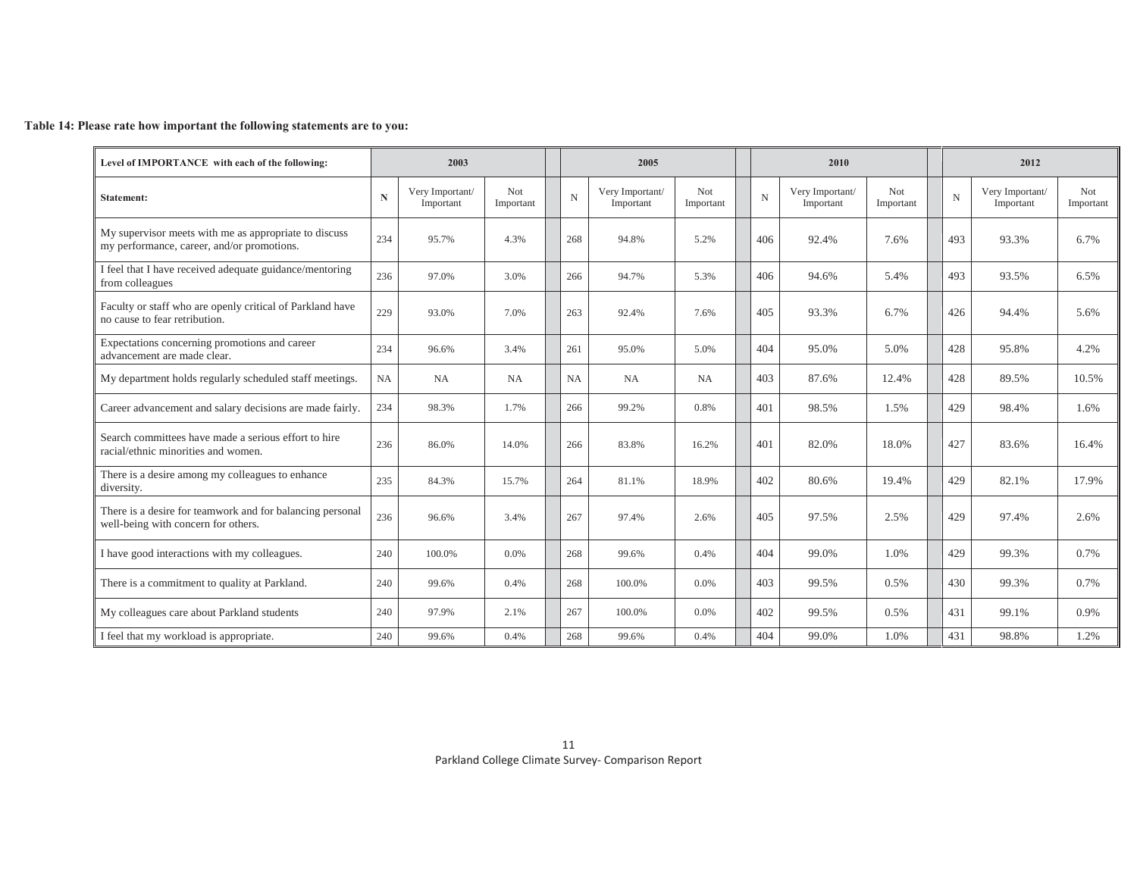### **Table 14: Please rate how important the following statements are to you:**

| Level of IMPORTANCE with each of the following:                                                     |             | 2003                         |                   |             | 2005                         |                   |             | 2010                         |                   |     | 2012                         |                         |
|-----------------------------------------------------------------------------------------------------|-------------|------------------------------|-------------------|-------------|------------------------------|-------------------|-------------|------------------------------|-------------------|-----|------------------------------|-------------------------|
| <b>Statement:</b>                                                                                   | $\mathbf N$ | Very Important/<br>Important | Not.<br>Important | $\mathbf N$ | Very Important/<br>Important | Not.<br>Important | $\mathbf N$ | Very Important/<br>Important | Not.<br>Important | N   | Very Important/<br>Important | <b>Not</b><br>Important |
| My supervisor meets with me as appropriate to discuss<br>my performance, career, and/or promotions. | 234         | 95.7%                        | 4.3%              | 268         | 94.8%                        | 5.2%              | 406         | 92.4%                        | 7.6%              | 493 | 93.3%                        | 6.7%                    |
| I feel that I have received adequate guidance/mentoring<br>from colleagues                          | 236         | 97.0%                        | 3.0%              | 266         | 94.7%                        | 5.3%              | 406         | 94.6%                        | 5.4%              | 493 | 93.5%                        | 6.5%                    |
| Faculty or staff who are openly critical of Parkland have<br>no cause to fear retribution.          | 229         | 93.0%                        | 7.0%              | 263         | 92.4%                        | 7.6%              | 405         | 93.3%                        | 6.7%              | 426 | 94.4%                        | 5.6%                    |
| Expectations concerning promotions and career<br>advancement are made clear.                        | 234         | 96.6%                        | 3.4%              | 261         | 95.0%                        | 5.0%              | 404         | 95.0%                        | 5.0%              | 428 | 95.8%                        | 4.2%                    |
| My department holds regularly scheduled staff meetings.                                             | NA          | NA                           | NA                | NA          | <b>NA</b>                    | NA                | 403         | 87.6%                        | 12.4%             | 428 | 89.5%                        | 10.5%                   |
| Career advancement and salary decisions are made fairly.                                            | 234         | 98.3%                        | 1.7%              | 266         | 99.2%                        | 0.8%              | 401         | 98.5%                        | 1.5%              | 429 | 98.4%                        | 1.6%                    |
| Search committees have made a serious effort to hire<br>racial/ethnic minorities and women.         | 236         | 86.0%                        | 14.0%             | 266         | 83.8%                        | 16.2%             | 401         | 82.0%                        | 18.0%             | 427 | 83.6%                        | 16.4%                   |
| There is a desire among my colleagues to enhance<br>diversity.                                      | 235         | 84.3%                        | 15.7%             | 264         | 81.1%                        | 18.9%             | 402         | 80.6%                        | 19.4%             | 429 | 82.1%                        | 17.9%                   |
| There is a desire for teamwork and for balancing personal<br>well-being with concern for others.    | 236         | 96.6%                        | 3.4%              | 267         | 97.4%                        | 2.6%              | 405         | 97.5%                        | 2.5%              | 429 | 97.4%                        | 2.6%                    |
| I have good interactions with my colleagues.                                                        | 240         | 100.0%                       | 0.0%              | 268         | 99.6%                        | 0.4%              | 404         | 99.0%                        | 1.0%              | 429 | 99.3%                        | 0.7%                    |
| There is a commitment to quality at Parkland.                                                       | 240         | 99.6%                        | 0.4%              | 268         | 100.0%                       | 0.0%              | 403         | 99.5%                        | 0.5%              | 430 | 99.3%                        | 0.7%                    |
| My colleagues care about Parkland students                                                          | 240         | 97.9%                        | 2.1%              | 267         | 100.0%                       | 0.0%              | 402         | 99.5%                        | 0.5%              | 431 | 99.1%                        | 0.9%                    |
| I feel that my workload is appropriate.                                                             | 240         | 99.6%                        | 0.4%              | 268         | 99.6%                        | 0.4%              | 404         | 99.0%                        | 1.0%              | 431 | 98.8%                        | 1.2%                    |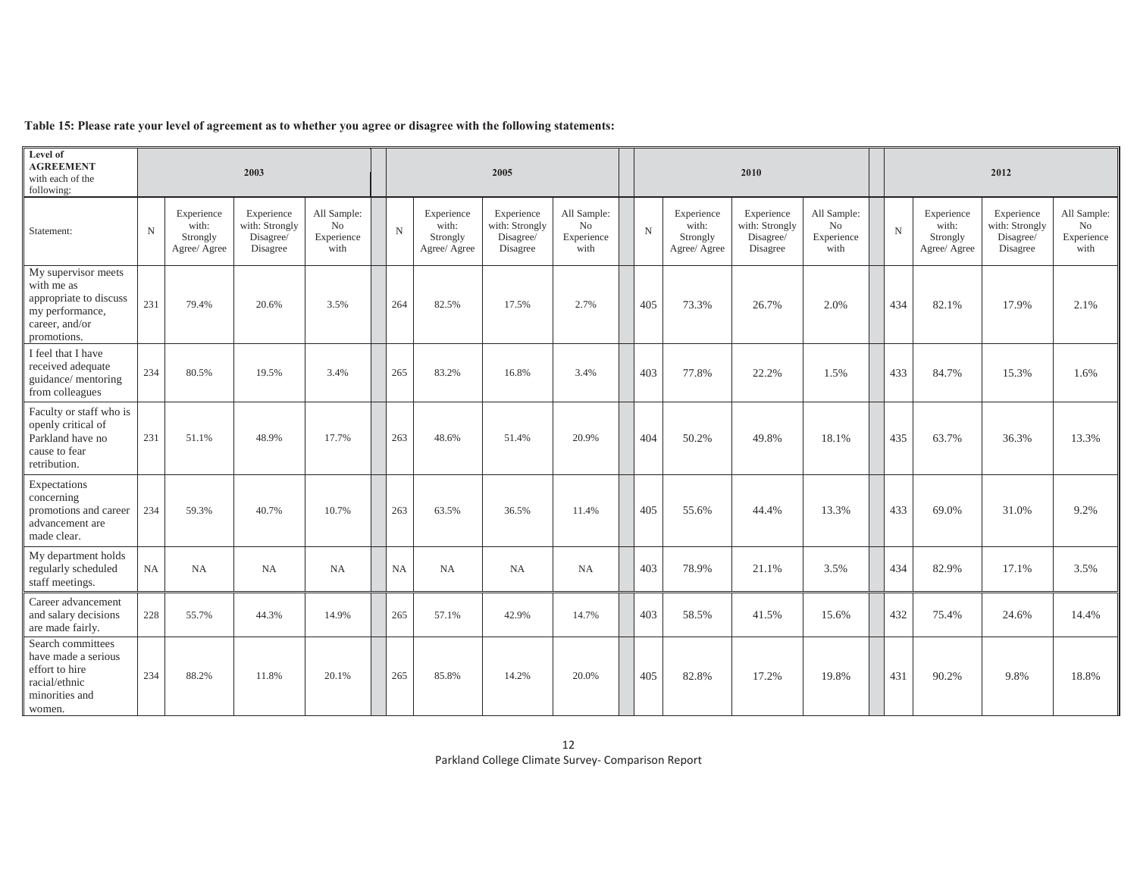|  | Table 15: Please rate your level of agreement as to whether you agree or disagree with the following statements: |  |
|--|------------------------------------------------------------------------------------------------------------------|--|
|  |                                                                                                                  |  |

| Level of<br><b>AGREEMENT</b><br>with each of the<br>following:                                                  |             |                                                 | 2003                                                  |                                         |             |                                                 | 2005                                                  |                                         |             |                                                 | 2010                                                  |                                         |             |                                                 | 2012                                                  |                                                     |
|-----------------------------------------------------------------------------------------------------------------|-------------|-------------------------------------------------|-------------------------------------------------------|-----------------------------------------|-------------|-------------------------------------------------|-------------------------------------------------------|-----------------------------------------|-------------|-------------------------------------------------|-------------------------------------------------------|-----------------------------------------|-------------|-------------------------------------------------|-------------------------------------------------------|-----------------------------------------------------|
| Statement:                                                                                                      | $\mathbf N$ | Experience<br>with:<br>Strongly<br>Agree/ Agree | Experience<br>with: Strongly<br>Disagree/<br>Disagree | All Sample:<br>No<br>Experience<br>with | $\mathbf N$ | Experience<br>with:<br>Strongly<br>Agree/ Agree | Experience<br>with: Strongly<br>Disagree/<br>Disagree | All Sample:<br>No<br>Experience<br>with | $\mathbf N$ | Experience<br>with:<br>Strongly<br>Agree/ Agree | Experience<br>with: Strongly<br>Disagree/<br>Disagree | All Sample:<br>No<br>Experience<br>with | $\mathbf N$ | Experience<br>with:<br>Strongly<br>Agree/ Agree | Experience<br>with: Strongly<br>Disagree/<br>Disagree | All Sample:<br>N <sub>o</sub><br>Experience<br>with |
| My supervisor meets<br>with me as<br>appropriate to discuss<br>my performance,<br>career, and/or<br>promotions. | 231         | 79.4%                                           | 20.6%                                                 | 3.5%                                    | 264         | 82.5%                                           | 17.5%                                                 | 2.7%                                    | 405         | 73.3%                                           | 26.7%                                                 | 2.0%                                    | 434         | 82.1%                                           | 17.9%                                                 | 2.1%                                                |
| I feel that I have<br>received adequate<br>guidance/ mentoring<br>from colleagues                               | 234         | 80.5%                                           | 19.5%                                                 | 3.4%                                    | 265         | 83.2%                                           | 16.8%                                                 | 3.4%                                    | 403         | 77.8%                                           | 22.2%                                                 | 1.5%                                    | 433         | 84.7%                                           | 15.3%                                                 | 1.6%                                                |
| Faculty or staff who is<br>openly critical of<br>Parkland have no<br>cause to fear<br>retribution.              | 231         | 51.1%                                           | 48.9%                                                 | 17.7%                                   | 263         | 48.6%                                           | 51.4%                                                 | 20.9%                                   | 404         | 50.2%                                           | 49.8%                                                 | 18.1%                                   | 435         | 63.7%                                           | 36.3%                                                 | 13.3%                                               |
| Expectations<br>concerning<br>promotions and career<br>advancement are<br>made clear.                           | 234         | 59.3%                                           | 40.7%                                                 | 10.7%                                   | 263         | 63.5%                                           | 36.5%                                                 | 11.4%                                   | 405         | 55.6%                                           | 44.4%                                                 | 13.3%                                   | 433         | 69.0%                                           | 31.0%                                                 | 9.2%                                                |
| My department holds<br>regularly scheduled<br>staff meetings.                                                   | NA          | NA                                              | NA                                                    | NA                                      | NA          | NA                                              | NA                                                    | NA                                      | 403         | 78.9%                                           | 21.1%                                                 | 3.5%                                    | 434         | 82.9%                                           | 17.1%                                                 | 3.5%                                                |
| Career advancement<br>and salary decisions<br>are made fairly.                                                  | 228         | 55.7%                                           | 44.3%                                                 | 14.9%                                   | 265         | 57.1%                                           | 42.9%                                                 | 14.7%                                   | 403         | 58.5%                                           | 41.5%                                                 | 15.6%                                   | 432         | 75.4%                                           | 24.6%                                                 | 14.4%                                               |
| Search committees<br>have made a serious<br>effort to hire<br>racial/ethnic<br>minorities and<br>women.         | 234         | 88.2%                                           | 11.8%                                                 | 20.1%                                   | 265         | 85.8%                                           | 14.2%                                                 | 20.0%                                   | 405         | 82.8%                                           | 17.2%                                                 | 19.8%                                   | 431         | 90.2%                                           | 9.8%                                                  | 18.8%                                               |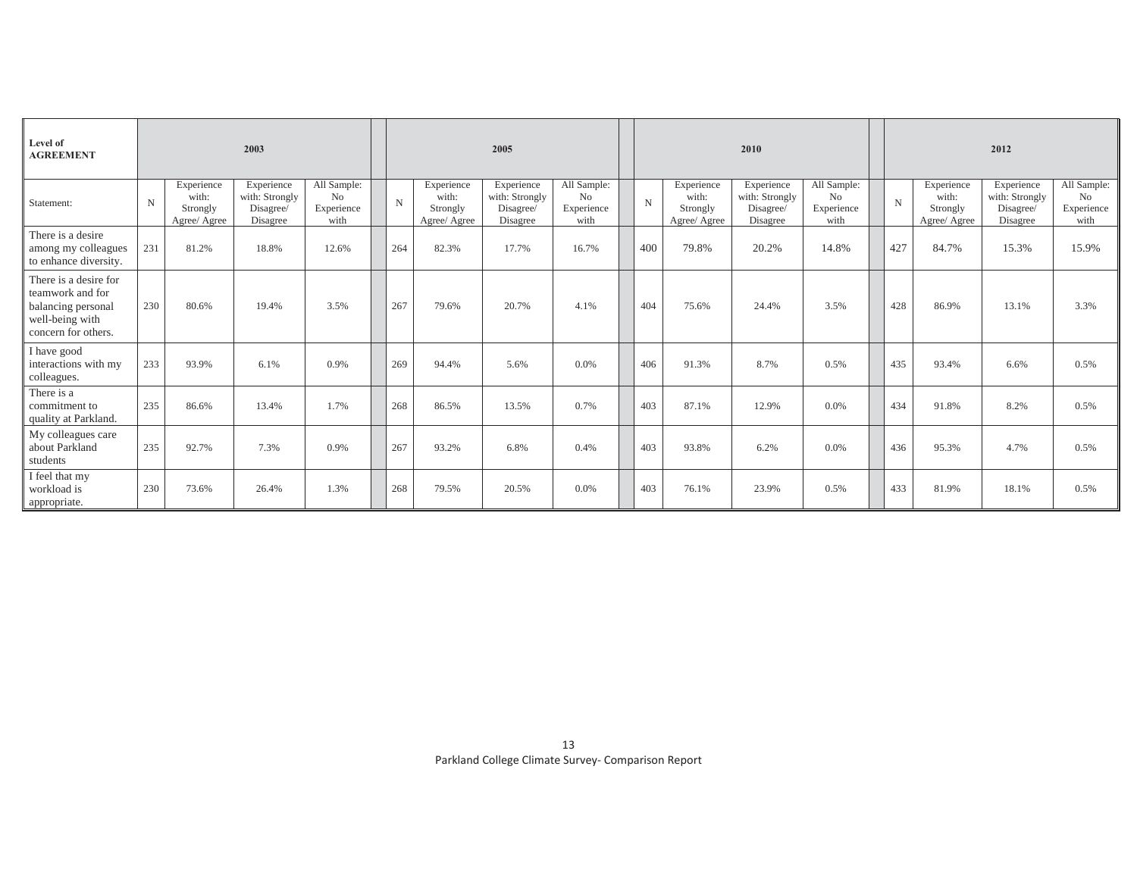| Level of<br><b>AGREEMENT</b>                                                                              |             |                                                 | 2003                                                  |                                         |             |                                                 | 2005                                                  |                                                     |     |                                                 | 2010                                                  |                                                     |             |                                                 | 2012                                                  |                                                     |
|-----------------------------------------------------------------------------------------------------------|-------------|-------------------------------------------------|-------------------------------------------------------|-----------------------------------------|-------------|-------------------------------------------------|-------------------------------------------------------|-----------------------------------------------------|-----|-------------------------------------------------|-------------------------------------------------------|-----------------------------------------------------|-------------|-------------------------------------------------|-------------------------------------------------------|-----------------------------------------------------|
| Statement:                                                                                                | $\mathbf N$ | Experience<br>with:<br>Strongly<br>Agree/ Agree | Experience<br>with: Strongly<br>Disagree/<br>Disagree | All Sample:<br>No<br>Experience<br>with | $\mathbf N$ | Experience<br>with:<br>Strongly<br>Agree/ Agree | Experience<br>with: Strongly<br>Disagree/<br>Disagree | All Sample:<br>N <sub>o</sub><br>Experience<br>with | N   | Experience<br>with:<br>Strongly<br>Agree/ Agree | Experience<br>with: Strongly<br>Disagree/<br>Disagree | All Sample:<br>N <sub>o</sub><br>Experience<br>with | $\mathbf N$ | Experience<br>with:<br>Strongly<br>Agree/ Agree | Experience<br>with: Strongly<br>Disagree/<br>Disagree | All Sample:<br>N <sub>o</sub><br>Experience<br>with |
| There is a desire<br>among my colleagues<br>to enhance diversity.                                         | 231         | 81.2%                                           | 18.8%                                                 | 12.6%                                   | 264         | 82.3%                                           | 17.7%                                                 | 16.7%                                               | 400 | 79.8%                                           | 20.2%                                                 | 14.8%                                               | 427         | 84.7%                                           | 15.3%                                                 | 15.9%                                               |
| There is a desire for<br>teamwork and for<br>balancing personal<br>well-being with<br>concern for others. | 230         | 80.6%                                           | 19.4%                                                 | 3.5%                                    | 267         | 79.6%                                           | 20.7%                                                 | 4.1%                                                | 404 | 75.6%                                           | 24.4%                                                 | 3.5%                                                | 428         | 86.9%                                           | 13.1%                                                 | 3.3%                                                |
| I have good<br>interactions with my<br>colleagues.                                                        | 233         | 93.9%                                           | 6.1%                                                  | 0.9%                                    | 269         | 94.4%                                           | 5.6%                                                  | 0.0%                                                | 406 | 91.3%                                           | 8.7%                                                  | 0.5%                                                | 435         | 93.4%                                           | 6.6%                                                  | 0.5%                                                |
| There is a<br>commitment to<br>quality at Parkland.                                                       | 235         | 86.6%                                           | 13.4%                                                 | 1.7%                                    | 268         | 86.5%                                           | 13.5%                                                 | 0.7%                                                | 403 | 87.1%                                           | 12.9%                                                 | $0.0\%$                                             | 434         | 91.8%                                           | 8.2%                                                  | 0.5%                                                |
| My colleagues care<br>about Parkland<br>students                                                          | 235         | 92.7%                                           | 7.3%                                                  | 0.9%                                    | 267         | 93.2%                                           | 6.8%                                                  | 0.4%                                                | 403 | 93.8%                                           | 6.2%                                                  | 0.0%                                                | 436         | 95.3%                                           | 4.7%                                                  | 0.5%                                                |
| I feel that my<br>workload is<br>appropriate.                                                             | 230         | 73.6%                                           | 26.4%                                                 | 1.3%                                    | 268         | 79.5%                                           | 20.5%                                                 | 0.0%                                                | 403 | 76.1%                                           | 23.9%                                                 | 0.5%                                                | 433         | 81.9%                                           | 18.1%                                                 | 0.5%                                                |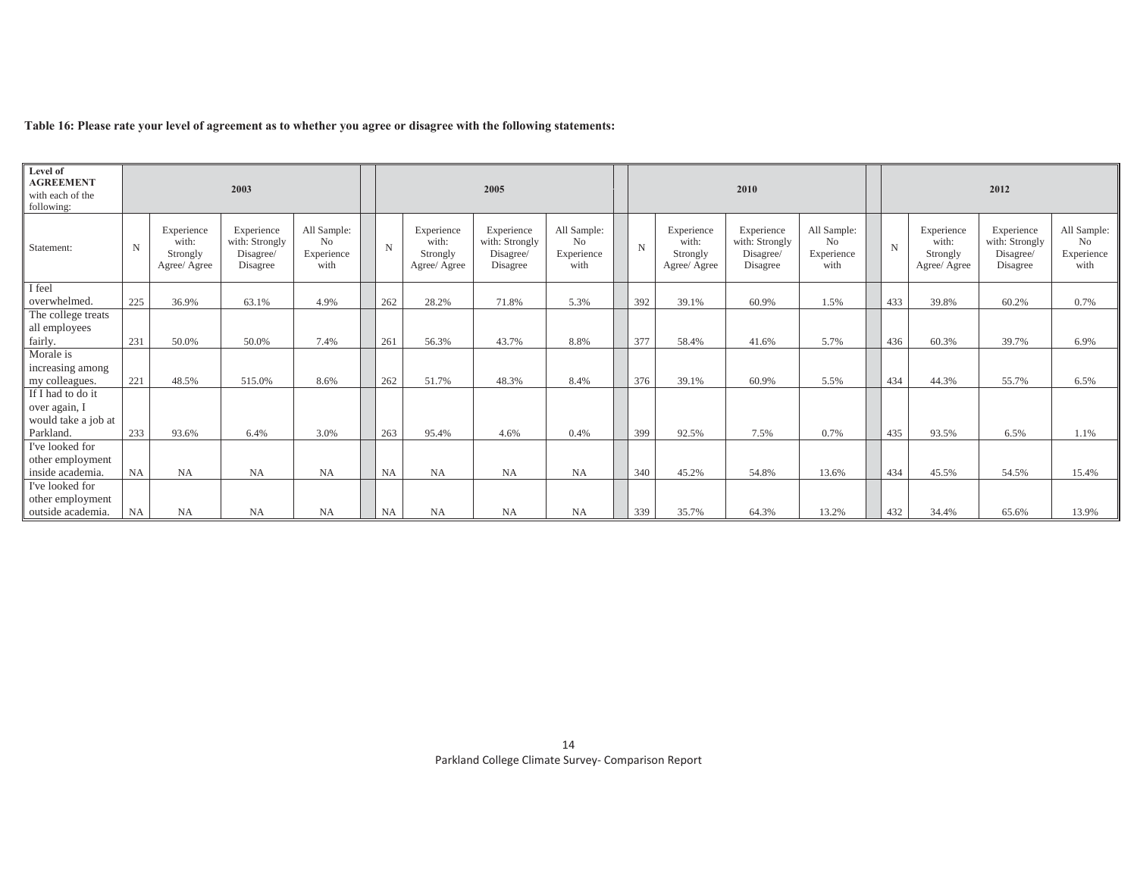|  |  | Table 16: Please rate your level of agreement as to whether you agree or disagree with the following statements: |
|--|--|------------------------------------------------------------------------------------------------------------------|
|  |  |                                                                                                                  |

| Level of<br><b>AGREEMENT</b><br>with each of the<br>following: |                       |                                                 | 2003                                                  |                                         |       |                                                 | 2005                                                  |                                                     |       |                                                 | 2010                                                  |                                                     |             |                                                 | 2012                                                  |                                         |
|----------------------------------------------------------------|-----------------------|-------------------------------------------------|-------------------------------------------------------|-----------------------------------------|-------|-------------------------------------------------|-------------------------------------------------------|-----------------------------------------------------|-------|-------------------------------------------------|-------------------------------------------------------|-----------------------------------------------------|-------------|-------------------------------------------------|-------------------------------------------------------|-----------------------------------------|
| Statement:                                                     | $\mathbf N$           | Experience<br>with:<br>Strongly<br>Agree/ Agree | Experience<br>with: Strongly<br>Disagree/<br>Disagree | All Sample:<br>No<br>Experience<br>with | N     | Experience<br>with:<br>Strongly<br>Agree/ Agree | Experience<br>with: Strongly<br>Disagree/<br>Disagree | All Sample:<br>N <sub>o</sub><br>Experience<br>with | N     | Experience<br>with:<br>Strongly<br>Agree/ Agree | Experience<br>with: Strongly<br>Disagree/<br>Disagree | All Sample:<br>N <sub>o</sub><br>Experience<br>with | $\mathbf N$ | Experience<br>with:<br>Strongly<br>Agree/ Agree | Experience<br>with: Strongly<br>Disagree/<br>Disagree | All Sample:<br>No<br>Experience<br>with |
| I feel                                                         | 225<br>36.9%<br>63.1% |                                                 |                                                       |                                         |       |                                                 |                                                       |                                                     |       |                                                 |                                                       |                                                     |             |                                                 |                                                       |                                         |
| overwhelmed.                                                   |                       | 4.9%                                            | 262                                                   | 28.2%                                   | 71.8% | 5.3%                                            | 392                                                   | 39.1%                                               | 60.9% | 1.5%                                            | 433                                                   | 39.8%                                               | 60.2%       | 0.7%                                            |                                                       |                                         |
| The college treats                                             |                       |                                                 |                                                       |                                         |       |                                                 |                                                       |                                                     |       |                                                 |                                                       |                                                     |             |                                                 |                                                       |                                         |
| all employees                                                  |                       |                                                 |                                                       |                                         |       |                                                 |                                                       |                                                     |       |                                                 |                                                       |                                                     |             |                                                 |                                                       |                                         |
| fairly.                                                        | 231                   | 50.0%                                           | 50.0%                                                 | 7.4%                                    | 261   | 56.3%                                           | 43.7%                                                 | 8.8%                                                | 377   | 58.4%                                           | 41.6%                                                 | 5.7%                                                | 436         | 60.3%                                           | 39.7%                                                 | 6.9%                                    |
| Morale is                                                      |                       |                                                 |                                                       |                                         |       |                                                 |                                                       |                                                     |       |                                                 |                                                       |                                                     |             |                                                 |                                                       |                                         |
| increasing among                                               |                       |                                                 |                                                       |                                         |       |                                                 |                                                       |                                                     |       |                                                 |                                                       |                                                     |             |                                                 |                                                       |                                         |
| my colleagues.                                                 | 221                   | 48.5%                                           | 515.0%                                                | 8.6%                                    | 262   | 51.7%                                           | 48.3%                                                 | 8.4%                                                | 376   | 39.1%                                           | 60.9%                                                 | 5.5%                                                | 434         | 44.3%                                           | 55.7%                                                 | 6.5%                                    |
| If I had to do it                                              |                       |                                                 |                                                       |                                         |       |                                                 |                                                       |                                                     |       |                                                 |                                                       |                                                     |             |                                                 |                                                       |                                         |
| over again, I                                                  |                       |                                                 |                                                       |                                         |       |                                                 |                                                       |                                                     |       |                                                 |                                                       |                                                     |             |                                                 |                                                       |                                         |
| would take a job at                                            |                       |                                                 |                                                       |                                         |       |                                                 |                                                       |                                                     |       |                                                 |                                                       |                                                     |             |                                                 |                                                       |                                         |
| Parkland.                                                      | 233                   | 93.6%                                           | 6.4%                                                  | 3.0%                                    | 263   | 95.4%                                           | 4.6%                                                  | 0.4%                                                | 399   | 92.5%                                           | 7.5%                                                  | 0.7%                                                | 435         | 93.5%                                           | 6.5%                                                  | 1.1%                                    |
| I've looked for                                                |                       |                                                 |                                                       |                                         |       |                                                 |                                                       |                                                     |       |                                                 |                                                       |                                                     |             |                                                 |                                                       |                                         |
| other employment                                               |                       |                                                 |                                                       |                                         |       |                                                 |                                                       |                                                     |       |                                                 |                                                       |                                                     |             |                                                 |                                                       |                                         |
| inside academia.                                               | NA                    | <b>NA</b>                                       | NA                                                    | <b>NA</b>                               | NA    | <b>NA</b>                                       | <b>NA</b>                                             | NA                                                  | 340   | 45.2%                                           | 54.8%                                                 | 13.6%                                               | 434         | 45.5%                                           | 54.5%                                                 | 15.4%                                   |
| I've looked for                                                |                       |                                                 |                                                       |                                         |       |                                                 |                                                       |                                                     |       |                                                 |                                                       |                                                     |             |                                                 |                                                       |                                         |
| other employment                                               |                       |                                                 |                                                       |                                         |       |                                                 |                                                       |                                                     |       |                                                 |                                                       |                                                     |             |                                                 |                                                       |                                         |
| outside academia.                                              | <b>NA</b><br>NA<br>NA |                                                 |                                                       | NA                                      | NA    | <b>NA</b>                                       | NA                                                    | <b>NA</b>                                           | 339   | 35.7%                                           | 64.3%                                                 | 13.2%                                               | 432         | 34.4%                                           | 65.6%                                                 | 13.9%                                   |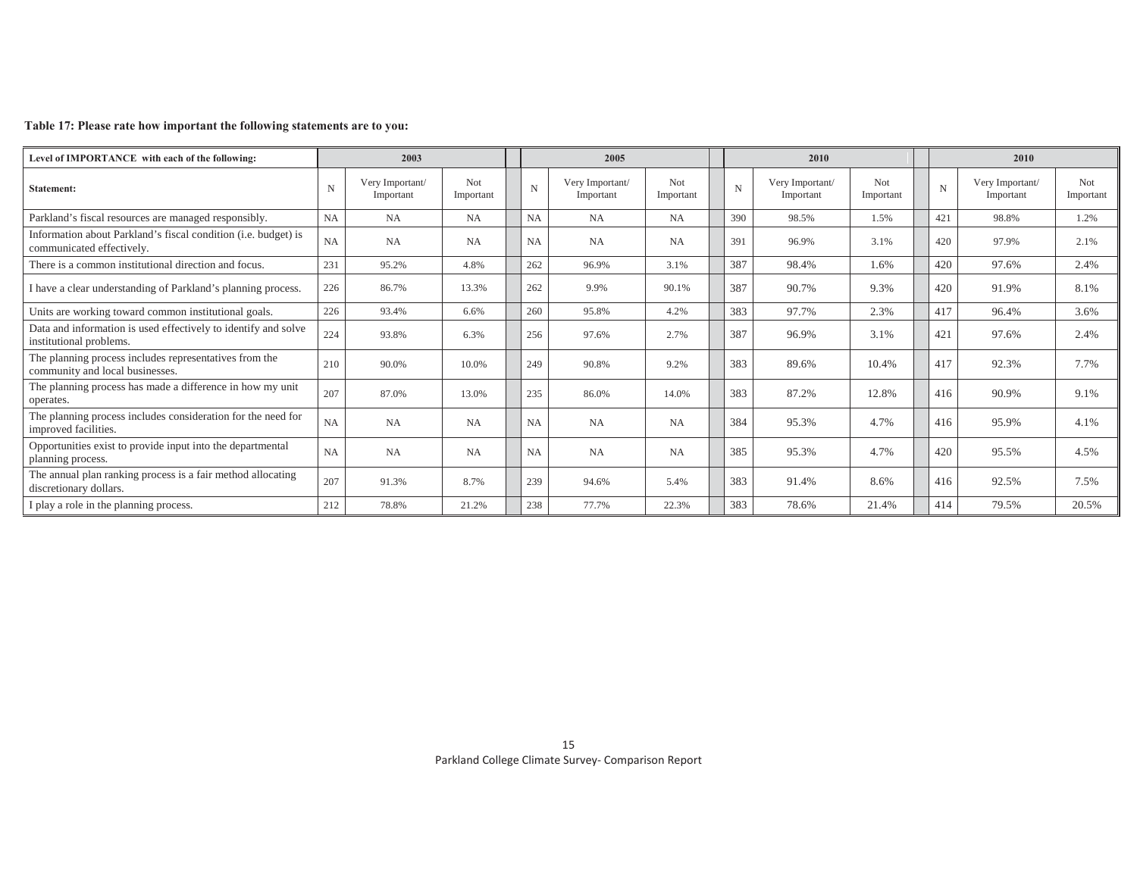### **Table 17: Please rate how important the following statements are to you:**

| Level of IMPORTANCE with each of the following:                                             |             | 2003                         |                   |             | 2005                         |                         |             | 2010                         |                         |             | 2010                         |                         |
|---------------------------------------------------------------------------------------------|-------------|------------------------------|-------------------|-------------|------------------------------|-------------------------|-------------|------------------------------|-------------------------|-------------|------------------------------|-------------------------|
| <b>Statement:</b>                                                                           | $\mathbf N$ | Very Important/<br>Important | Not.<br>Important | $\mathbf N$ | Very Important/<br>Important | <b>Not</b><br>Important | $\mathbf N$ | Very Important/<br>Important | <b>Not</b><br>Important | $\mathbf N$ | Very Important/<br>Important | <b>Not</b><br>Important |
| Parkland's fiscal resources are managed responsibly.                                        | NA          | NA                           | NA                | <b>NA</b>   | NA                           | <b>NA</b>               | 390         | 98.5%                        | 1.5%                    | 421         | 98.8%                        | 1.2%                    |
| Information about Parkland's fiscal condition (i.e. budget) is<br>communicated effectively. | NA          | NA                           | <b>NA</b>         | <b>NA</b>   | <b>NA</b>                    | <b>NA</b>               | 391         | 96.9%                        | 3.1%                    | 420         | 97.9%                        | 2.1%                    |
| There is a common institutional direction and focus.                                        | 231         | 95.2%                        | 4.8%              | 262         | 96.9%                        | 3.1%                    | 387         | 98.4%                        | 1.6%                    | 420         | 97.6%                        | 2.4%                    |
| I have a clear understanding of Parkland's planning process.                                | 226         | 86.7%                        | 13.3%             | 262         | 9.9%                         | 90.1%                   | 387         | 90.7%                        | 9.3%                    | 420         | 91.9%                        | 8.1%                    |
| Units are working toward common institutional goals.                                        | 226         | 93.4%                        | 6.6%              | 260         | 95.8%                        | 4.2%                    | 383         | 97.7%                        | 2.3%                    | 417         | 96.4%                        | 3.6%                    |
| Data and information is used effectively to identify and solve<br>institutional problems.   | 224         | 93.8%                        | 6.3%              | 256         | 97.6%                        | 2.7%                    | 387         | 96.9%                        | 3.1%                    | 421         | 97.6%                        | 2.4%                    |
| The planning process includes representatives from the<br>community and local businesses.   | 210         | 90.0%                        | 10.0%             | 249         | 90.8%                        | 9.2%                    | 383         | 89.6%                        | 10.4%                   | 417         | 92.3%                        | 7.7%                    |
| The planning process has made a difference in how my unit<br>operates.                      | 207         | 87.0%                        | 13.0%             | 235         | 86.0%                        | 14.0%                   | 383         | 87.2%                        | 12.8%                   | 416         | 90.9%                        | 9.1%                    |
| The planning process includes consideration for the need for<br>improved facilities.        | NA          | NA                           | NA                | <b>NA</b>   | NA                           | <b>NA</b>               | 384         | 95.3%                        | 4.7%                    | 416         | 95.9%                        | 4.1%                    |
| Opportunities exist to provide input into the departmental<br>planning process.             | <b>NA</b>   | <b>NA</b>                    | NA                | <b>NA</b>   | NA                           | <b>NA</b>               | 385         | 95.3%                        | 4.7%                    | 420         | 95.5%                        | 4.5%                    |
| The annual plan ranking process is a fair method allocating<br>discretionary dollars.       | 207         | 91.3%                        | 8.7%              | 239         | 94.6%                        | 5.4%                    | 383         | 91.4%                        | 8.6%                    | 416         | 92.5%                        | 7.5%                    |
| I play a role in the planning process.                                                      | 212         | 78.8%                        | 21.2%             | 238         | 77.7%                        | 22.3%                   | 383         | 78.6%                        | 21.4%                   | 414         | 79.5%                        | 20.5%                   |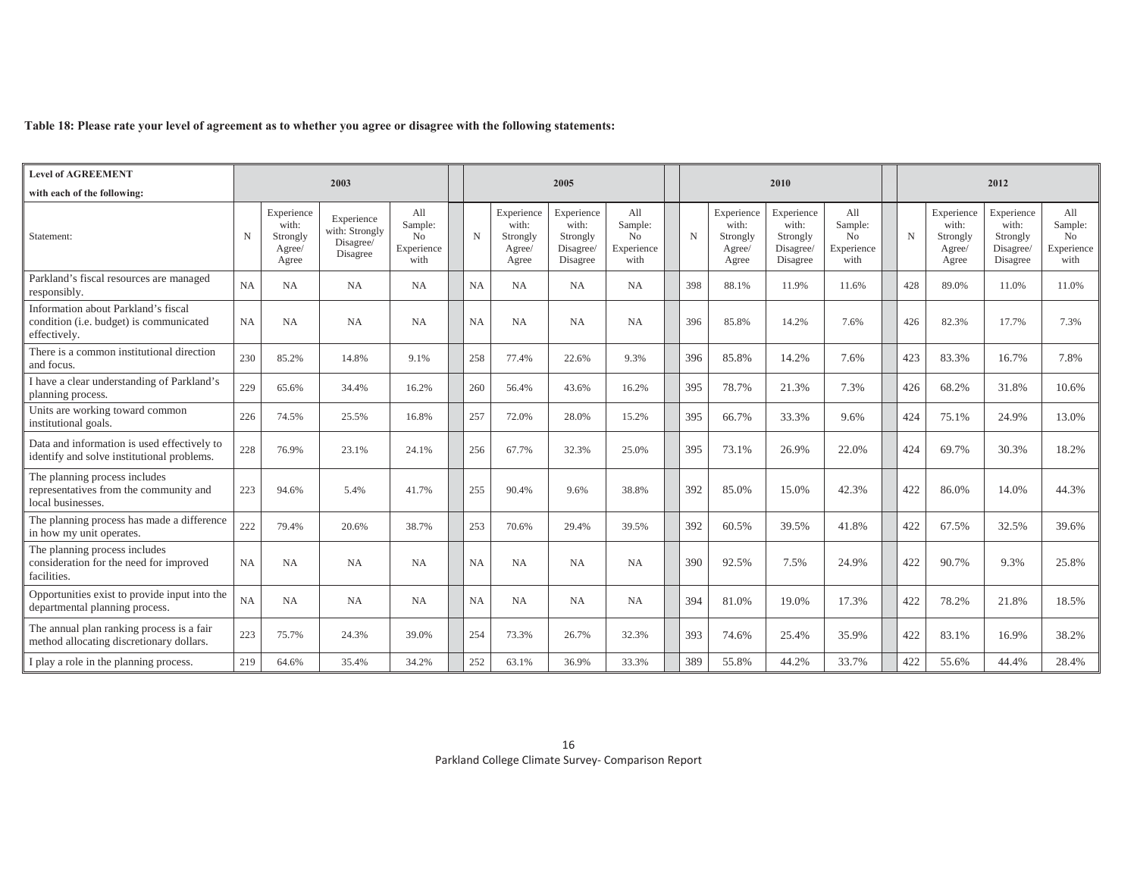### **Table 18: Please rate your level of agreement as to whether you agree or disagree with the following statements:**

| <b>Level of AGREEMENT</b>                                                                      |           |                                                    |                                                       |                                                        |             |                                                    |                                                          |                                                        |     |                                                    |                                                          |                                                        |             |                                                    |                                                          |                                                        |
|------------------------------------------------------------------------------------------------|-----------|----------------------------------------------------|-------------------------------------------------------|--------------------------------------------------------|-------------|----------------------------------------------------|----------------------------------------------------------|--------------------------------------------------------|-----|----------------------------------------------------|----------------------------------------------------------|--------------------------------------------------------|-------------|----------------------------------------------------|----------------------------------------------------------|--------------------------------------------------------|
| with each of the following:                                                                    |           |                                                    | 2003                                                  |                                                        |             |                                                    | 2005                                                     |                                                        |     |                                                    | 2010                                                     |                                                        |             |                                                    | 2012                                                     |                                                        |
| Statement:                                                                                     | N         | Experience<br>with:<br>Strongly<br>Agree/<br>Agree | Experience<br>with: Strongly<br>Disagree/<br>Disagree | All<br>Sample:<br>N <sub>0</sub><br>Experience<br>with | $\mathbf N$ | Experience<br>with:<br>Strongly<br>Agree/<br>Agree | Experience<br>with:<br>Strongly<br>Disagree/<br>Disagree | All<br>Sample:<br>N <sub>0</sub><br>Experience<br>with | N   | Experience<br>with:<br>Strongly<br>Agree/<br>Agree | Experience<br>with:<br>Strongly<br>Disagree/<br>Disagree | All<br>Sample:<br>N <sub>0</sub><br>Experience<br>with | $\mathbf N$ | Experience<br>with:<br>Strongly<br>Agree/<br>Agree | Experience<br>with:<br>Strongly<br>Disagree/<br>Disagree | All<br>Sample:<br>N <sub>0</sub><br>Experience<br>with |
| Parkland's fiscal resources are managed<br>responsibly.                                        | <b>NA</b> | NA                                                 | NA                                                    | <b>NA</b>                                              | NA          | <b>NA</b>                                          | <b>NA</b>                                                | NA                                                     | 398 | 88.1%                                              | 11.9%                                                    | 11.6%                                                  | 428         | 89.0%                                              | 11.0%                                                    | 11.0%                                                  |
| Information about Parkland's fiscal<br>condition (i.e. budget) is communicated<br>effectively. | <b>NA</b> | NA                                                 | NA                                                    | NA                                                     | NA          | NA                                                 | NA                                                       | NA                                                     | 396 | 85.8%                                              | 14.2%                                                    | 7.6%                                                   | 426         | 82.3%                                              | 17.7%                                                    | 7.3%                                                   |
| There is a common institutional direction<br>and focus.                                        | 230       | 85.2%                                              | 14.8%                                                 | 9.1%                                                   | 258         | 77.4%                                              | 22.6%                                                    | 9.3%                                                   | 396 | 85.8%                                              | 14.2%                                                    | 7.6%                                                   | 423         | 83.3%                                              | 16.7%                                                    | 7.8%                                                   |
| I have a clear understanding of Parkland's<br>planning process.                                | 229       | 65.6%                                              | 34.4%                                                 | 16.2%                                                  | 260         | 56.4%                                              | 43.6%                                                    | 16.2%                                                  | 395 | 78.7%                                              | 21.3%                                                    | 7.3%                                                   | 426         | 68.2%                                              | 31.8%                                                    | 10.6%                                                  |
| Units are working toward common<br>institutional goals.                                        | 226       | 74.5%                                              | 25.5%                                                 | 16.8%                                                  | 257         | 72.0%                                              | 28.0%                                                    | 15.2%                                                  | 395 | 66.7%                                              | 33.3%                                                    | 9.6%                                                   | 424         | 75.1%                                              | 24.9%                                                    | 13.0%                                                  |
| Data and information is used effectively to<br>identify and solve institutional problems.      | 228       | 76.9%                                              | 23.1%                                                 | 24.1%                                                  | 256         | 67.7%                                              | 32.3%                                                    | 25.0%                                                  | 395 | 73.1%                                              | 26.9%                                                    | 22.0%                                                  | 424         | 69.7%                                              | 30.3%                                                    | 18.2%                                                  |
| The planning process includes<br>representatives from the community and<br>local businesses.   | 223       | 94.6%                                              | 5.4%                                                  | 41.7%                                                  | 255         | 90.4%                                              | 9.6%                                                     | 38.8%                                                  | 392 | 85.0%                                              | 15.0%                                                    | 42.3%                                                  | 422         | 86.0%                                              | 14.0%                                                    | 44.3%                                                  |
| The planning process has made a difference<br>in how my unit operates.                         | 222       | 79.4%                                              | 20.6%                                                 | 38.7%                                                  | 253         | 70.6%                                              | 29.4%                                                    | 39.5%                                                  | 392 | 60.5%                                              | 39.5%                                                    | 41.8%                                                  | 422         | 67.5%                                              | 32.5%                                                    | 39.6%                                                  |
| The planning process includes<br>consideration for the need for improved<br>facilities.        | NA        | NA                                                 | NA                                                    | <b>NA</b>                                              | <b>NA</b>   | NA                                                 | NA                                                       | NA                                                     | 390 | 92.5%                                              | 7.5%                                                     | 24.9%                                                  | 422         | 90.7%                                              | 9.3%                                                     | 25.8%                                                  |
| Opportunities exist to provide input into the<br>departmental planning process.                | NA        | NA                                                 | NA                                                    | <b>NA</b>                                              | NA          | NA                                                 | NA                                                       | NA                                                     | 394 | 81.0%                                              | 19.0%                                                    | 17.3%                                                  | 422         | 78.2%                                              | 21.8%                                                    | 18.5%                                                  |
| The annual plan ranking process is a fair<br>method allocating discretionary dollars.          | 223       | 75.7%                                              | 24.3%                                                 | 39.0%                                                  | 254         | 73.3%                                              | 26.7%                                                    | 32.3%                                                  | 393 | 74.6%                                              | 25.4%                                                    | 35.9%                                                  | 422         | 83.1%                                              | 16.9%                                                    | 38.2%                                                  |
| I play a role in the planning process.                                                         | 219       | 64.6%                                              | 35.4%                                                 | 34.2%                                                  | 252         | 63.1%                                              | 36.9%                                                    | 33.3%                                                  | 389 | 55.8%                                              | 44.2%                                                    | 33.7%                                                  | 422         | 55.6%                                              | 44.4%                                                    | 28.4%                                                  |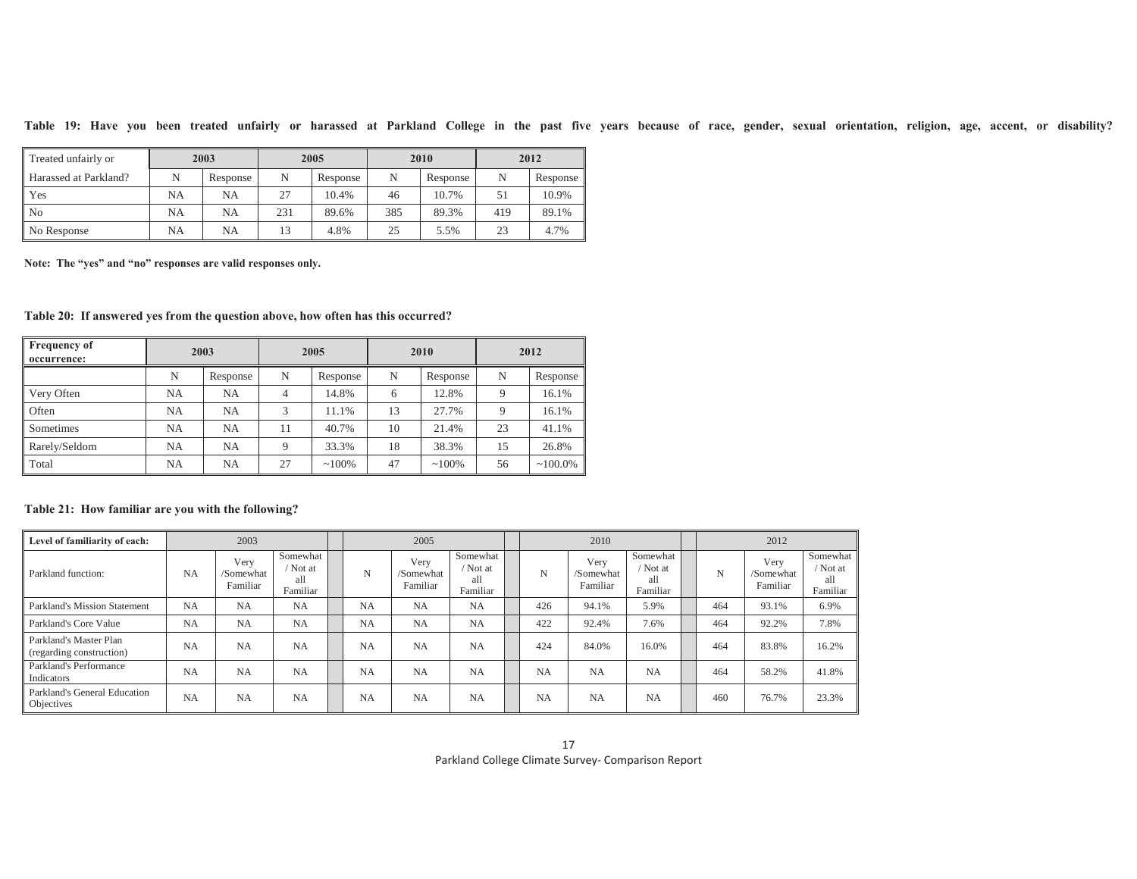| Table<br>19: | Hav | - vou | been | treated |  | unfairly or harassed | ` at Parkland | College | in | the | past | five | vears | because | - ot | race | gender. | sexual | orientation. | eligion. | age | accent. | - or | disability? |  |
|--------------|-----|-------|------|---------|--|----------------------|---------------|---------|----|-----|------|------|-------|---------|------|------|---------|--------|--------------|----------|-----|---------|------|-------------|--|
|              |     |       |      |         |  |                      |               |         |    |     |      |      |       |         |      |      |         |        |              |          |     |         |      |             |  |

| Treated unfairly or          | 2003 |           |     | 2005     |     | 2010     | 2012 |          |  |
|------------------------------|------|-----------|-----|----------|-----|----------|------|----------|--|
| <b>Harassed at Parkland?</b> | N    | Response  | N   | Response | N   | Response | N    | Response |  |
| l Yes                        | NA   | <b>NA</b> | 27  | 10.4%    | 46  | 10.7%    | 51   | 10.9%    |  |
| l No                         | NA   | <b>NA</b> | 231 | 89.6%    | 385 | 89.3%    | 419  | 89.1%    |  |
| No Response                  | NA   | <b>NA</b> |     | 4.8%     | 25  | 5.5%     | 23   | 4.7%     |  |

**Note: The "yes" and "no" responses are valid responses only.** 

**Table 20: If answered yes from the question above, how often has this occurred?** 

| <b>Frequency of</b><br>occurrence: | 2003      |          |    | 2005     |    | 2010     | 2012 |            |  |
|------------------------------------|-----------|----------|----|----------|----|----------|------|------------|--|
|                                    | N         | Response | N  | Response | N  | Response | N    | Response   |  |
| Very Often                         | <b>NA</b> | NA       | 4  | 14.8%    | 6  | 12.8%    | 9    | 16.1%      |  |
| Often                              | NA        | NA       | 3  | 11.1%    | 13 | 27.7%    | 9    | 16.1%      |  |
| Sometimes                          | <b>NA</b> | NA       | 11 | 40.7%    | 10 | 21.4%    | 23   | 41.1%      |  |
| Rarely/Seldom                      | <b>NA</b> | NA       | Q  | 33.3%    | 18 | 38.3%    | 15   | 26.8%      |  |
| Total                              | NA        | NA       | 27 | $~100\%$ | 47 | $~100\%$ | 56   | $~100.0\%$ |  |

## **Table 21: How familiar are you with the following?**

| Level of familiarity of each:                      | 2003      |                               |                                         | 2005      |                               |                                       | 2010      |                               |                                         | 2012 |                               |                                       |
|----------------------------------------------------|-----------|-------------------------------|-----------------------------------------|-----------|-------------------------------|---------------------------------------|-----------|-------------------------------|-----------------------------------------|------|-------------------------------|---------------------------------------|
| Parkland function:                                 | <b>NA</b> | Very<br>/Somewhat<br>Familiar | Somewhat<br>/ Not at<br>all<br>Familiar | N         | Very<br>/Somewhat<br>Familiar | Somewhat<br>Not at<br>all<br>Familiar | N         | Very<br>/Somewhat<br>Familiar | Somewhat<br>/ Not at<br>all<br>Familiar | N    | Very<br>/Somewhat<br>Familiar | Somewhat<br>Not at<br>all<br>Familiar |
| Parkland's Mission Statement                       | <b>NA</b> | <b>NA</b>                     | NA                                      | <b>NA</b> | <b>NA</b>                     | <b>NA</b>                             | 426       | 94.1%                         | 5.9%                                    | 464  | 93.1%                         | 6.9%                                  |
| Parkland's Core Value                              | <b>NA</b> | <b>NA</b>                     | <b>NA</b>                               | <b>NA</b> | <b>NA</b>                     | <b>NA</b>                             | 422       | 92.4%                         | 7.6%                                    | 464  | 92.2%                         | 7.8%                                  |
| Parkland's Master Plan<br>(regarding construction) | <b>NA</b> | <b>NA</b>                     | <b>NA</b>                               | <b>NA</b> | NA                            | <b>NA</b>                             | 424       | 84.0%                         | 16.0%                                   | 464  | 83.8%                         | 16.2%                                 |
| Parkland's Performance<br>Indicators               | <b>NA</b> | <b>NA</b>                     | <b>NA</b>                               | <b>NA</b> | <b>NA</b>                     | NA                                    | NA        | <b>NA</b>                     | <b>NA</b>                               | 464  | 58.2%                         | 41.8%                                 |
| Parkland's General Education<br>Objectives         | <b>NA</b> | <b>NA</b>                     | <b>NA</b>                               | <b>NA</b> | <b>NA</b>                     | <b>NA</b>                             | <b>NA</b> | <b>NA</b>                     | <b>NA</b>                               | 460  | 76.7%                         | 23.3%                                 |